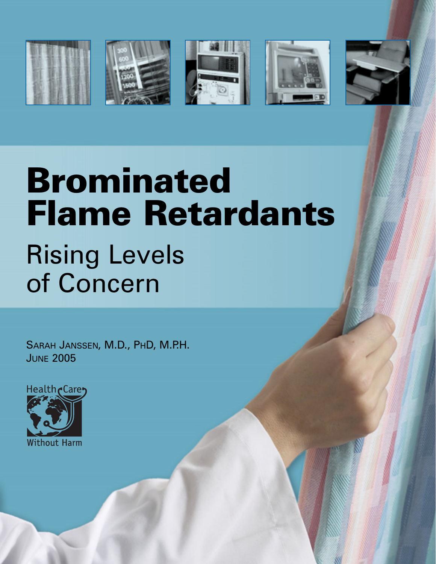









# Brominated Flame Retardants Rising Levels of Concern

SARAH JANSSEN, M.D., PHD, M.P.H. JUNE 2005

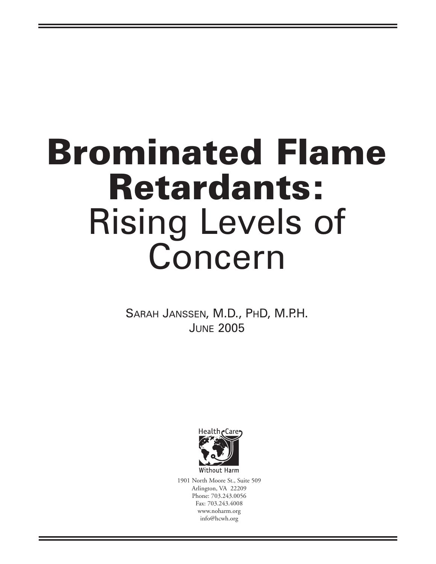# **Brominated Flame Retardants:**  Rising Levels of Concern

SARAH JANSSEN, M.D., PHD, M.P.H. **JUNE 2005** 



1901 North Moore St., Suite 509 Arlington, VA 22209 Phone: 703.243.0056 Fax: 703.243.4008 www.noharm.org info@hcwh.org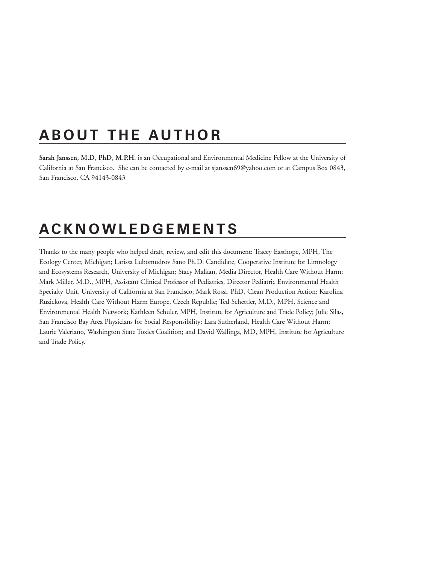# **ABOUT THE AUTHOR**

**Sarah Janssen, M.D, PhD, M.P.H.** is an Occupational and Environmental Medicine Fellow at the University of California at San Francisco. She can be contacted by e-mail at sjanssen69@yahoo.com or at Campus Box 0843, San Francisco, CA 94143-0843

# **ACKNOWLEDGEMENTS**

Thanks to the many people who helped draft, review, and edit this document: Tracey Easthope, MPH, The Ecology Center, Michigan; Larissa Lubomudrov Sano Ph.D. Candidate, Cooperative Institute for Limnology and Ecosystems Research, University of Michigan; Stacy Malkan, Media Director, Health Care Without Harm; Mark Miller, M.D., MPH, Assistant Clinical Professor of Pediatrics, Director Pediatric Environmental Health Specialty Unit, University of California at San Francisco; Mark Rossi, PhD, Clean Production Action; Karolina Ruzickova, Health Care Without Harm Europe, Czech Republic; Ted Schettler, M.D., MPH, Science and Environmental Health Network; Kathleen Schuler, MPH, Institute for Agriculture and Trade Policy; Julie Silas, San Francisco Bay Area Physicians for Social Responsibility; Lara Sutherland, Health Care Without Harm; Laurie Valeriano, Washington State Toxics Coalition; and David Wallinga, MD, MPH, Institute for Agriculture and Trade Policy.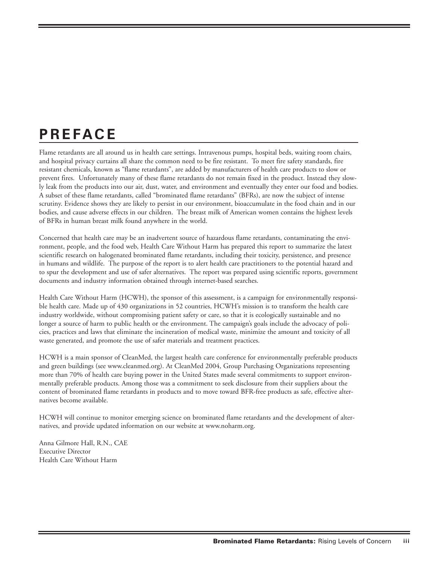# **PREFACE**

Flame retardants are all around us in health care settings. Intravenous pumps, hospital beds, waiting room chairs, and hospital privacy curtains all share the common need to be fire resistant. To meet fire safety standards, fire resistant chemicals, known as "flame retardants", are added by manufacturers of health care products to slow or prevent fires. Unfortunately many of these flame retardants do not remain fixed in the product. Instead they slowly leak from the products into our air, dust, water, and environment and eventually they enter our food and bodies. A subset of these flame retardants, called "brominated flame retardants" (BFRs), are now the subject of intense scrutiny. Evidence shows they are likely to persist in our environment, bioaccumulate in the food chain and in our bodies, and cause adverse effects in our children. The breast milk of American women contains the highest levels of BFRs in human breast milk found anywhere in the world.

Concerned that health care may be an inadvertent source of hazardous flame retardants, contaminating the environment, people, and the food web, Health Care Without Harm has prepared this report to summarize the latest scientific research on halogenated brominated flame retardants, including their toxicity, persistence, and presence in humans and wildlife. The purpose of the report is to alert health care practitioners to the potential hazard and to spur the development and use of safer alternatives. The report was prepared using scientific reports, government documents and industry information obtained through internet-based searches.

Health Care Without Harm (HCWH), the sponsor of this assessment, is a campaign for environmentally responsible health care. Made up of 430 organizations in 52 countries, HCWH's mission is to transform the health care industry worldwide, without compromising patient safety or care, so that it is ecologically sustainable and no longer a source of harm to public health or the environment. The campaign's goals include the advocacy of policies, practices and laws that eliminate the incineration of medical waste, minimize the amount and toxicity of all waste generated, and promote the use of safer materials and treatment practices.

HCWH is a main sponsor of CleanMed, the largest health care conference for environmentally preferable products and green buildings (see www.cleanmed.org). At CleanMed 2004, Group Purchasing Organizations representing more than 70% of health care buying power in the United States made several commitments to support environmentally preferable products. Among those was a commitment to seek disclosure from their suppliers about the content of brominated flame retardants in products and to move toward BFR-free products as safe, effective alternatives become available.

HCWH will continue to monitor emerging science on brominated flame retardants and the development of alternatives, and provide updated information on our website at www.noharm.org.

Anna Gilmore Hall, R.N., CAE Executive Director Health Care Without Harm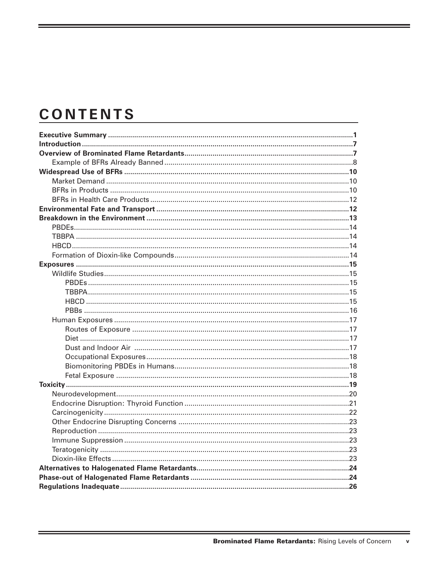# **CONTENTS**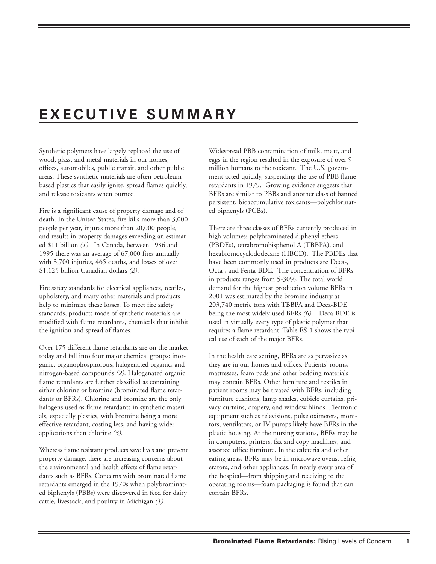# **EXECUTIVE SUMMARY**

Synthetic polymers have largely replaced the use of wood, glass, and metal materials in our homes, offices, automobiles, public transit, and other public areas. These synthetic materials are often petroleumbased plastics that easily ignite, spread flames quickly, and release toxicants when burned.

Fire is a significant cause of property damage and of death. In the United States, fire kills more than 3,000 people per year, injures more than 20,000 people, and results in property damages exceeding an estimated \$11 billion *(1)*. In Canada, between 1986 and 1995 there was an average of 67,000 fires annually with 3,700 injuries, 465 deaths, and losses of over \$1.125 billion Canadian dollars *(2)*.

Fire safety standards for electrical appliances, textiles, upholstery, and many other materials and products help to minimize these losses. To meet fire safety standards, products made of synthetic materials are modified with flame retardants, chemicals that inhibit the ignition and spread of flames.

Over 175 different flame retardants are on the market today and fall into four major chemical groups: inorganic, organophosphorous, halogenated organic, and nitrogen-based compounds *(2)*. Halogenated organic flame retardants are further classified as containing either chlorine or bromine (brominated flame retardants or BFRs). Chlorine and bromine are the only halogens used as flame retardants in synthetic materials, especially plastics, with bromine being a more effective retardant, costing less, and having wider applications than chlorine *(3)*.

Whereas flame resistant products save lives and prevent property damage, there are increasing concerns about the environmental and health effects of flame retardants such as BFRs. Concerns with brominated flame retardants emerged in the 1970s when polybrominated biphenyls (PBBs) were discovered in feed for dairy cattle, livestock, and poultry in Michigan *(1)*.

Widespread PBB contamination of milk, meat, and eggs in the region resulted in the exposure of over 9 million humans to the toxicant. The U.S. government acted quickly, suspending the use of PBB flame retardants in 1979. Growing evidence suggests that BFRs are similar to PBBs and another class of banned persistent, bioaccumulative toxicants—polychlorinated biphenyls (PCBs).

There are three classes of BFRs currently produced in high volumes: polybrominated diphenyl ethers (PBDEs), tetrabromobisphenol A (TBBPA), and hexabromocyclododecane (HBCD). The PBDEs that have been commonly used in products are Deca-, Octa-, and Penta-BDE. The concentration of BFRs in products ranges from 5-30%. The total world demand for the highest production volume BFRs in 2001 was estimated by the bromine industry at 203,740 metric tons with TBBPA and Deca-BDE being the most widely used BFRs *(6)*. Deca-BDE is used in virtually every type of plastic polymer that requires a flame retardant. Table ES-1 shows the typical use of each of the major BFRs.

In the health care setting, BFRs are as pervasive as they are in our homes and offices. Patients' rooms, mattresses, foam pads and other bedding materials may contain BFRs. Other furniture and textiles in patient rooms may be treated with BFRs, including furniture cushions, lamp shades, cubicle curtains, privacy curtains, drapery, and window blinds. Electronic equipment such as televisions, pulse oximeters, monitors, ventilators, or IV pumps likely have BFRs in the plastic housing. At the nursing stations, BFRs may be in computers, printers, fax and copy machines, and assorted office furniture. In the cafeteria and other eating areas, BFRs may be in microwave ovens, refrigerators, and other appliances. In nearly every area of the hospital—from shipping and receiving to the operating rooms—foam packaging is found that can contain BFRs.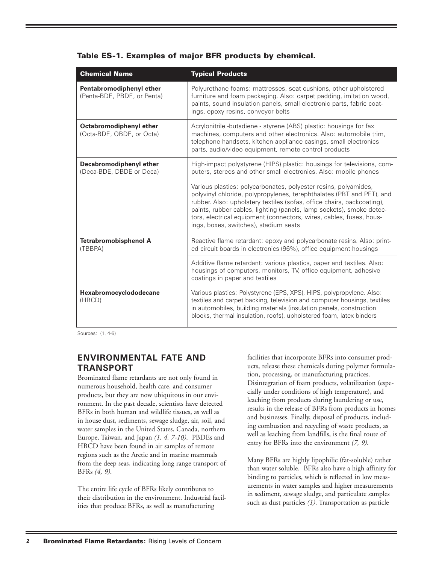| <b>Chemical Name</b>                                    | <b>Typical Products</b>                                                                                                                                                                                                                                                                                                                                                                                    |
|---------------------------------------------------------|------------------------------------------------------------------------------------------------------------------------------------------------------------------------------------------------------------------------------------------------------------------------------------------------------------------------------------------------------------------------------------------------------------|
| Pentabromodiphenyl ether<br>(Penta-BDE, PBDE, or Penta) | Polyurethane foams: mattresses, seat cushions, other upholstered<br>furniture and foam packaging. Also: carpet padding, imitation wood,<br>paints, sound insulation panels, small electronic parts, fabric coat-<br>ings, epoxy resins, conveyor belts                                                                                                                                                     |
| Octabromodiphenyl ether<br>(Octa-BDE, OBDE, or Octa)    | Acrylonitrile -butadiene - styrene (ABS) plastic: housings for fax<br>machines, computers and other electronics. Also: automobile trim,<br>telephone handsets, kitchen appliance casings, small electronics<br>parts, audio/video equipment, remote control products                                                                                                                                       |
| Decabromodiphenyl ether<br>(Deca-BDE, DBDE or Deca)     | High-impact polystyrene (HIPS) plastic: housings for televisions, com-<br>puters, stereos and other small electronics. Also: mobile phones                                                                                                                                                                                                                                                                 |
|                                                         | Various plastics: polycarbonates, polyester resins, polyamides,<br>polyvinyl chloride, polypropylenes, terephthalates (PBT and PET), and<br>rubber. Also: upholstery textiles (sofas, office chairs, backcoating),<br>paints, rubber cables, lighting (panels, lamp sockets), smoke detec-<br>tors, electrical equipment (connectors, wires, cables, fuses, hous-<br>ings, boxes, switches), stadium seats |
| <b>Tetrabromobisphenol A</b><br>(TBBPA)                 | Reactive flame retardant: epoxy and polycarbonate resins. Also: print-<br>ed circuit boards in electronics (96%), office equipment housings                                                                                                                                                                                                                                                                |
|                                                         | Additive flame retardant: various plastics, paper and textiles. Also:<br>housings of computers, monitors, TV, office equipment, adhesive<br>coatings in paper and textiles                                                                                                                                                                                                                                 |
| Hexabromocyclododecane<br>(HBCD)                        | Various plastics: Polystyrene (EPS, XPS), HIPS, polypropylene. Also:<br>textiles and carpet backing, television and computer housings, textiles<br>in automobiles, building materials (insulation panels, construction<br>blocks, thermal insulation, roofs), upholstered foam, latex binders                                                                                                              |

|  |  |  | Table ES-1. Examples of major BFR products by chemical. |  |  |  |  |  |  |
|--|--|--|---------------------------------------------------------|--|--|--|--|--|--|
|--|--|--|---------------------------------------------------------|--|--|--|--|--|--|

Sources: (1, 4-6)

# **ENVIRONMENTAL FATE AND TRANSPORT**

Brominated flame retardants are not only found in numerous household, health care, and consumer products, but they are now ubiquitous in our environment. In the past decade, scientists have detected BFRs in both human and wildlife tissues, as well as in house dust, sediments, sewage sludge, air, soil, and water samples in the United States, Canada, northern Europe, Taiwan, and Japan *(1, 4, 7-10)*. PBDEs and HBCD have been found in air samples of remote regions such as the Arctic and in marine mammals from the deep seas, indicating long range transport of BFRs *(4, 9)*.

The entire life cycle of BFRs likely contributes to their distribution in the environment. Industrial facilities that produce BFRs, as well as manufacturing

facilities that incorporate BFRs into consumer products, release these chemicals during polymer formulation, processing, or manufacturing practices. Disintegration of foam products, volatilization (especially under conditions of high temperature), and leaching from products during laundering or use, results in the release of BFRs from products in homes and businesses. Finally, disposal of products, including combustion and recycling of waste products, as well as leaching from landfills, is the final route of entry for BFRs into the environment *(7, 9)*.

Many BFRs are highly lipophilic (fat-soluble) rather than water soluble. BFRs also have a high affinity for binding to particles, which is reflected in low measurements in water samples and higher measurements in sediment, sewage sludge, and particulate samples such as dust particles *(1)*. Transportation as particle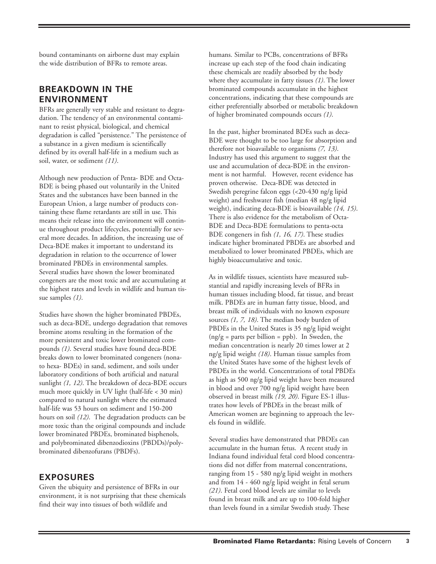bound contaminants on airborne dust may explain the wide distribution of BFRs to remote areas.

# **BREAKDOWN IN THE ENVIRONMENT**

BFRs are generally very stable and resistant to degradation. The tendency of an environmental contaminant to resist physical, biological, and chemical degradation is called "persistence." The persistence of a substance in a given medium is scientifically defined by its overall half-life in a medium such as soil, water, or sediment *(11)*.

Although new production of Penta- BDE and Octa-BDE is being phased out voluntarily in the United States and the substances have been banned in the European Union, a large number of products containing these flame retardants are still in use. This means their release into the environment will continue throughout product lifecycles, potentially for several more decades. In addition, the increasing use of Deca-BDE makes it important to understand its degradation in relation to the occurrence of lower brominated PBDEs in environmental samples. Several studies have shown the lower brominated congeners are the most toxic and are accumulating at the highest rates and levels in wildlife and human tissue samples *(1)*.

Studies have shown the higher brominated PBDEs, such as deca-BDE, undergo degradation that removes bromine atoms resulting in the formation of the more persistent and toxic lower brominated compounds *(1)*. Several studies have found deca-BDE breaks down to lower brominated congeners (nonato hexa- BDEs) in sand, sediment, and soils under laboratory conditions of both artificial and natural sunlight *(1, 12)*. The breakdown of deca-BDE occurs much more quickly in UV light (half-life < 30 min) compared to natural sunlight where the estimated half-life was 53 hours on sediment and 150-200 hours on soil *(12)*. The degradation products can be more toxic than the original compounds and include lower brominated PBDEs, brominated bisphenols, and polybrominated dibenzodioxins (PBDDs)/polybrominated dibenzofurans (PBDFs).

## **EXPOSURES**

Given the ubiquity and persistence of BFRs in our environment, it is not surprising that these chemicals find their way into tissues of both wildlife and

humans. Similar to PCBs, concentrations of BFRs increase up each step of the food chain indicating these chemicals are readily absorbed by the body where they accumulate in fatty tissues *(1)*. The lower brominated compounds accumulate in the highest concentrations, indicating that these compounds are either preferentially absorbed or metabolic breakdown of higher brominated compounds occurs *(1)*.

In the past, higher brominated BDEs such as deca-BDE were thought to be too large for absorption and therefore not bioavailable to organisms *(7, 13)*. Industry has used this argument to suggest that the use and accumulation of deca-BDE in the environment is not harmful. However, recent evidence has proven otherwise. Deca-BDE was detected in Swedish peregrine falcon eggs (<20-430 ng/g lipid weight) and freshwater fish (median 48 ng/g lipid weight), indicating deca-BDE is bioavailable *(14, 15)*. There is also evidence for the metabolism of Octa-BDE and Deca-BDE formulations to penta-octa BDE congeners in fish *(1, 16, 17)*. These studies indicate higher brominated PBDEs are absorbed and metabolized to lower brominated PBDEs, which are highly bioaccumulative and toxic.

As in wildlife tissues, scientists have measured substantial and rapidly increasing levels of BFRs in human tissues including blood, fat tissue, and breast milk. PBDEs are in human fatty tissue, blood, and breast milk of individuals with no known exposure sources *(1, 7, 18)*. The median body burden of PBDEs in the United States is 35 ng/g lipid weight  $(ng/g = parts per billion = ppb)$ . In Sweden, the median concentration is nearly 20 times lower at 2 ng/g lipid weight *(18)*. Human tissue samples from the United States have some of the highest levels of PBDEs in the world. Concentrations of total PBDEs as high as 500 ng/g lipid weight have been measured in blood and over 700 ng/g lipid weight have been observed in breast milk *(19, 20)*. Figure ES-1 illustrates how levels of PBDEs in the breast milk of American women are beginning to approach the levels found in wildlife.

Several studies have demonstrated that PBDEs can accumulate in the human fetus. A recent study in Indiana found individual fetal cord blood concentrations did not differ from maternal concentrations, ranging from 15 - 580 ng/g lipid weight in mothers and from 14 - 460 ng/g lipid weight in fetal serum *(21)*. Fetal cord blood levels are similar to levels found in breast milk and are up to 100-fold higher than levels found in a similar Swedish study. These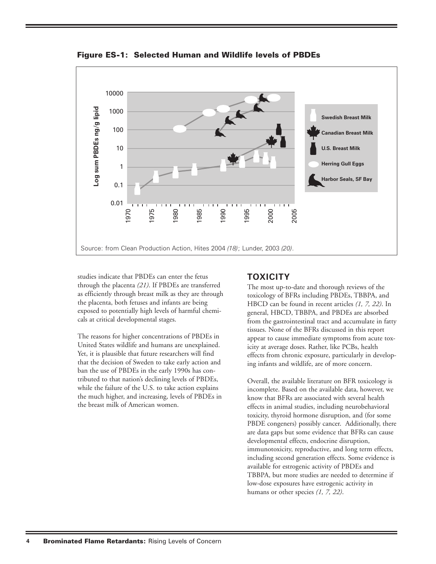

**Figure ES-1: Selected Human and Wildlife levels of PBDEs**

studies indicate that PBDEs can enter the fetus through the placenta *(21)*. If PBDEs are transferred as efficiently through breast milk as they are through the placenta, both fetuses and infants are being exposed to potentially high levels of harmful chemicals at critical developmental stages.

The reasons for higher concentrations of PBDEs in United States wildlife and humans are unexplained. Yet, it is plausible that future researchers will find that the decision of Sweden to take early action and ban the use of PBDEs in the early 1990s has contributed to that nation's declining levels of PBDEs, while the failure of the U.S. to take action explains the much higher, and increasing, levels of PBDEs in the breast milk of American women.

# **TOXICITY**

The most up-to-date and thorough reviews of the toxicology of BFRs including PBDEs, TBBPA, and HBCD can be found in recent articles *(1, 7, 22)*. In general, HBCD, TBBPA, and PBDEs are absorbed from the gastrointestinal tract and accumulate in fatty tissues. None of the BFRs discussed in this report appear to cause immediate symptoms from acute toxicity at average doses. Rather, like PCBs, health effects from chronic exposure, particularly in developing infants and wildlife, are of more concern.

Overall, the available literature on BFR toxicology is incomplete. Based on the available data, however, we know that BFRs are associated with several health effects in animal studies, including neurobehavioral toxicity, thyroid hormone disruption, and (for some PBDE congeners) possibly cancer. Additionally, there are data gaps but some evidence that BFRs can cause developmental effects, endocrine disruption, immunotoxicity, reproductive, and long term effects, including second generation effects. Some evidence is available for estrogenic activity of PBDEs and TBBPA, but more studies are needed to determine if low-dose exposures have estrogenic activity in humans or other species *(1, 7, 22)*.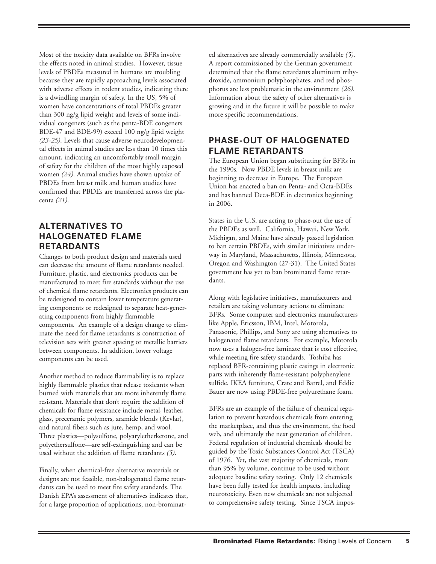Most of the toxicity data available on BFRs involve the effects noted in animal studies. However, tissue levels of PBDEs measured in humans are troubling because they are rapidly approaching levels associated with adverse effects in rodent studies, indicating there is a dwindling margin of safety. In the US, 5% of women have concentrations of total PBDEs greater than 300 ng/g lipid weight and levels of some individual congeners (such as the penta-BDE congeners BDE-47 and BDE-99) exceed 100 ng/g lipid weight *(23-25)*. Levels that cause adverse neurodevelopmental effects in animal studies are less than 10 times this amount, indicating an uncomfortably small margin of safety for the children of the most highly exposed women *(24)*. Animal studies have shown uptake of PBDEs from breast milk and human studies have confirmed that PBDEs are transferred across the placenta *(21)*.

# **ALTERNATIVES TO HALOGENATED FLAME RETARDANTS**

Changes to both product design and materials used can decrease the amount of flame retardants needed. Furniture, plastic, and electronics products can be manufactured to meet fire standards without the use of chemical flame retardants. Electronics products can be redesigned to contain lower temperature generating components or redesigned to separate heat-generating components from highly flammable components. An example of a design change to eliminate the need for flame retardants is construction of television sets with greater spacing or metallic barriers between components. In addition, lower voltage components can be used.

Another method to reduce flammability is to replace highly flammable plastics that release toxicants when burned with materials that are more inherently flame resistant. Materials that don't require the addition of chemicals for flame resistance include metal, leather, glass, preceramic polymers, aramide blends (Kevlar), and natural fibers such as jute, hemp, and wool. Three plastics—polysulfone, polyaryletherketone, and polyethersulfone—are self-extinguishing and can be used without the addition of flame retardants *(5)*.

Finally, when chemical-free alternative materials or designs are not feasible, non-halogenated flame retardants can be used to meet fire safety standards. The Danish EPA's assessment of alternatives indicates that, for a large proportion of applications, non-brominated alternatives are already commercially available *(5)*. A report commissioned by the German government determined that the flame retardants aluminum trihydroxide, ammonium polyphosphates, and red phosphorus are less problematic in the environment *(26)*. Information about the safety of other alternatives is growing and in the future it will be possible to make more specific recommendations.

# **PHASE-OUT OF HALOGENATED FLAME RETARDANTS**

The European Union began substituting for BFRs in the 1990s. Now PBDE levels in breast milk are beginning to decrease in Europe. The European Union has enacted a ban on Penta- and Octa-BDEs and has banned Deca-BDE in electronics beginning in 2006.

States in the U.S. are acting to phase-out the use of the PBDEs as well. California, Hawaii, New York, Michigan, and Maine have already passed legislation to ban certain PBDEs, with similar initiatives underway in Maryland, Massachusetts, Illinois, Minnesota, Oregon and Washington (27-31). The United States government has yet to ban brominated flame retardants.

Along with legislative initiatives, manufacturers and retailers are taking voluntary actions to eliminate BFRs. Some computer and electronics manufacturers like Apple, Ericsson, IBM, Intel, Motorola, Panasonic, Phillips, and Sony are using alternatives to halogenated flame retardants. For example, Motorola now uses a halogen-free laminate that is cost effective, while meeting fire safety standards. Toshiba has replaced BFR-containing plastic casings in electronic parts with inherently flame-resistant polyphenylene sulfide. IKEA furniture, Crate and Barrel, and Eddie Bauer are now using PBDE-free polyurethane foam.

BFRs are an example of the failure of chemical regulation to prevent hazardous chemicals from entering the marketplace, and thus the environment, the food web, and ultimately the next generation of children. Federal regulation of industrial chemicals should be guided by the Toxic Substances Control Act (TSCA) of 1976. Yet, the vast majority of chemicals, more than 95% by volume, continue to be used without adequate baseline safety testing. Only 12 chemicals have been fully tested for health impacts, including neurotoxicity. Even new chemicals are not subjected to comprehensive safety testing. Since TSCA impos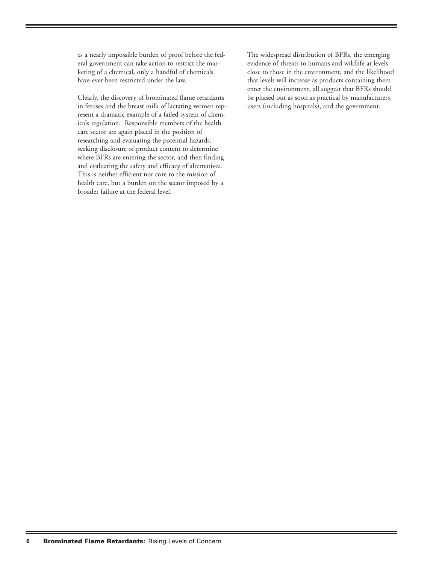es a nearly impossible burden of proof before the federal government can take action to restrict the marketing of a chemical, only a handful of chemicals have ever been restricted under the law.

Clearly, the discovery of brominated flame retardants in fetuses and the breast milk of lactating women represent a dramatic example of a failed system of chemicals regulation. Responsible members of the health care sector are again placed in the position of researching and evaluating the potential hazards, seeking disclosure of product content to determine where BFRs are entering the sector, and then finding and evaluating the safety and efficacy of alternatives. This is neither efficient nor core to the mission of health care, but a burden on the sector imposed by a broader failure at the federal level.

The widespread distribution of BFRs, the emerging evidence of threats to humans and wildlife at levels close to those in the environment, and the likelihood that levels will increase as products containing them enter the environment, all suggest that BFRs should be phased out as soon as practical by manufacturers, users (including hospitals), and the government.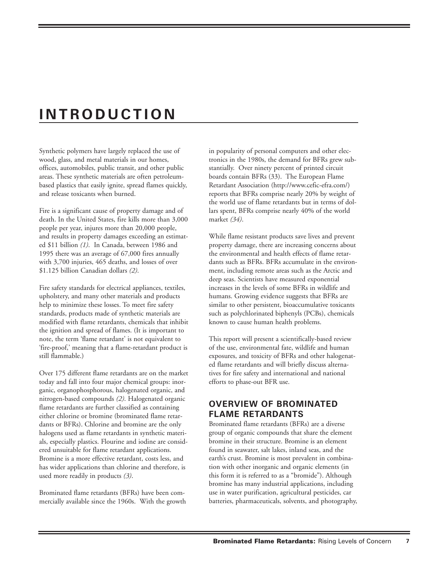# **INTRODUCTION**

Synthetic polymers have largely replaced the use of wood, glass, and metal materials in our homes, offices, automobiles, public transit, and other public areas. These synthetic materials are often petroleumbased plastics that easily ignite, spread flames quickly, and release toxicants when burned.

Fire is a significant cause of property damage and of death. In the United States, fire kills more than 3,000 people per year, injures more than 20,000 people, and results in property damages exceeding an estimated \$11 billion *(1)*. In Canada, between 1986 and 1995 there was an average of 67,000 fires annually with 3,700 injuries, 465 deaths, and losses of over \$1.125 billion Canadian dollars *(2)*.

Fire safety standards for electrical appliances, textiles, upholstery, and many other materials and products help to minimize these losses. To meet fire safety standards, products made of synthetic materials are modified with flame retardants, chemicals that inhibit the ignition and spread of flames. (It is important to note, the term 'flame retardant' is not equivalent to 'fire-proof,' meaning that a flame-retardant product is still flammable.)

Over 175 different flame retardants are on the market today and fall into four major chemical groups: inorganic, organophosphorous, halogenated organic, and nitrogen-based compounds *(2)*. Halogenated organic flame retardants are further classified as containing either chlorine or bromine (brominated flame retardants or BFRs). Chlorine and bromine are the only halogens used as flame retardants in synthetic materials, especially plastics. Flourine and iodine are considered unsuitable for flame retardant applications. Bromine is a more effective retardant, costs less, and has wider applications than chlorine and therefore, is used more readily in products *(3)*.

Brominated flame retardants (BFRs) have been commercially available since the 1960s. With the growth in popularity of personal computers and other electronics in the 1980s, the demand for BFRs grew substantially. Over ninety percent of printed circuit boards contain BFRs (33). The European Flame Retardant Association (http://www.cefic-efra.com/) reports that BFRs comprise nearly 20% by weight of the world use of flame retardants but in terms of dollars spent, BFRs comprise nearly 40% of the world market *(34)*.

While flame resistant products save lives and prevent property damage, there are increasing concerns about the environmental and health effects of flame retardants such as BFRs. BFRs accumulate in the environment, including remote areas such as the Arctic and deep seas. Scientists have measured exponential increases in the levels of some BFRs in wildlife and humans. Growing evidence suggests that BFRs are similar to other persistent, bioaccumulative toxicants such as polychlorinated biphenyls (PCBs), chemicals known to cause human health problems.

This report will present a scientifically-based review of the use, environmental fate, wildlife and human exposures, and toxicity of BFRs and other halogenated flame retardants and will briefly discuss alternatives for fire safety and international and national efforts to phase-out BFR use.

# **OVERVIEW OF BROMINATED FLAME RETARDANTS**

Brominated flame retardants (BFRs) are a diverse group of organic compounds that share the element bromine in their structure. Bromine is an element found in seawater, salt lakes, inland seas, and the earth's crust. Bromine is most prevalent in combination with other inorganic and organic elements (in this form it is referred to as a "bromide"). Although bromine has many industrial applications, including use in water purification, agricultural pesticides, car batteries, pharmaceuticals, solvents, and photography,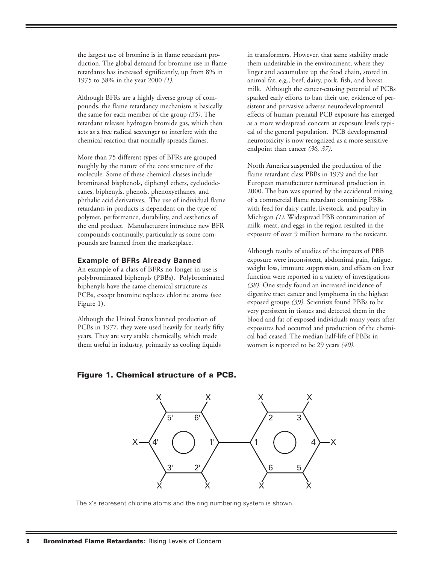the largest use of bromine is in flame retardant production. The global demand for bromine use in flame retardants has increased significantly, up from 8% in 1975 to 38% in the year 2000 *(1)*.

Although BFRs are a highly diverse group of compounds, the flame retardancy mechanism is basically the same for each member of the group *(35)*. The retardant releases hydrogen bromide gas, which then acts as a free radical scavenger to interfere with the chemical reaction that normally spreads flames.

More than 75 different types of BFRs are grouped roughly by the nature of the core structure of the molecule. Some of these chemical classes include brominated bisphenols, diphenyl ethers, cyclododecanes, biphenyls, phenols, phenoxyethanes, and phthalic acid derivatives. The use of individual flame retardants in products is dependent on the type of polymer, performance, durability, and aesthetics of the end product. Manufacturers introduce new BFR compounds continually, particularly as some compounds are banned from the marketplace.

#### **Example of BFRs Already Banned**

An example of a class of BFRs no longer in use is polybrominated biphenyls (PBBs). Polybrominated biphenyls have the same chemical structure as PCBs, except bromine replaces chlorine atoms (see Figure 1).

Although the United States banned production of PCBs in 1977, they were used heavily for nearly fifty years. They are very stable chemically, which made them useful in industry, primarily as cooling liquids

in transformers. However, that same stability made them undesirable in the environment, where they linger and accumulate up the food chain, stored in animal fat, e.g., beef, dairy, pork, fish, and breast milk. Although the cancer-causing potential of PCBs sparked early efforts to ban their use, evidence of persistent and pervasive adverse neurodevelopmental effects of human prenatal PCB exposure has emerged as a more widespread concern at exposure levels typical of the general population. PCB developmental neurotoxicity is now recognized as a more sensitive endpoint than cancer *(36, 37)*.

North America suspended the production of the flame retardant class PBBs in 1979 and the last European manufacturer terminated production in 2000. The ban was spurred by the accidental mixing of a commercial flame retardant containing PBBs with feed for dairy cattle, livestock, and poultry in Michigan *(1)*. Widespread PBB contamination of milk, meat, and eggs in the region resulted in the exposure of over 9 million humans to the toxicant.

Although results of studies of the impacts of PBB exposure were inconsistent, abdominal pain, fatigue, weight loss, immune suppression, and effects on liver function were reported in a variety of investigations *(38)*. One study found an increased incidence of digestive tract cancer and lymphoma in the highest exposed groups *(39)*. Scientists found PBBs to be very persistent in tissues and detected them in the blood and fat of exposed individuals many years after exposures had occurred and production of the chemical had ceased. The median half-life of PBBs in women is reported to be 29 years *(40)*.

#### **Figure 1. Chemical structure of a PCB.**



The x's represent chlorine atoms and the ring numbering system is shown.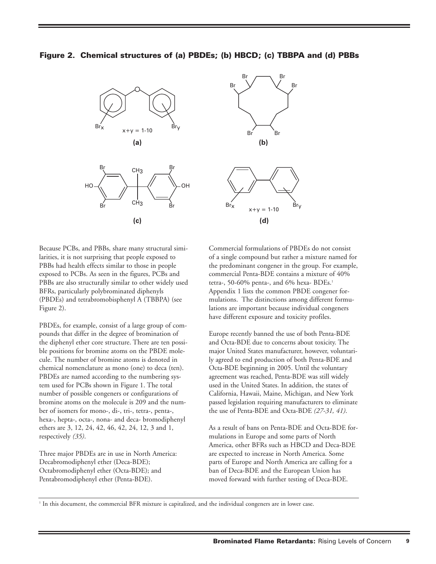



Because PCBs, and PBBs, share many structural similarities, it is not surprising that people exposed to PBBs had health effects similar to those in people exposed to PCBs. As seen in the figures, PCBs and PBBs are also structurally similar to other widely used BFRs, particularly polybrominated diphenyls (PBDEs) and tetrabromobisphenyl A (TBBPA) (see Figure 2).

PBDEs, for example, consist of a large group of compounds that differ in the degree of bromination of the diphenyl ether core structure. There are ten possible positions for bromine atoms on the PBDE molecule. The number of bromine atoms is denoted in chemical nomenclature as mono (one) to deca (ten). PBDEs are named according to the numbering system used for PCBs shown in Figure 1. The total number of possible congeners or configurations of bromine atoms on the molecule is 209 and the number of isomers for mono-, di-, tri-, tetra-, penta-, hexa-, hepta-, octa-, nona- and deca- bromodiphenyl ethers are 3, 12, 24, 42, 46, 42, 24, 12, 3 and 1, respectively *(35)*.

Three major PBDEs are in use in North America: Decabromodiphenyl ether (Deca-BDE); Octabromodiphenyl ether (Octa-BDE); and Pentabromodiphenyl ether (Penta-BDE).



Commercial formulations of PBDEs do not consist of a single compound but rather a mixture named for the predominant congener in the group. For example, commercial Penta-BDE contains a mixture of 40% tetra-, 50-60% penta-, and 6% hexa- BDEs.<sup>1</sup> Appendix 1 lists the common PBDE congener formulations. The distinctions among different formulations are important because individual congeners have different exposure and toxicity profiles.

Europe recently banned the use of both Penta-BDE and Octa-BDE due to concerns about toxicity. The major United States manufacturer, however, voluntarily agreed to end production of both Penta-BDE and Octa-BDE beginning in 2005. Until the voluntary agreement was reached, Penta-BDE was still widely used in the United States. In addition, the states of California, Hawaii, Maine, Michigan, and New York passed legislation requiring manufacturers to eliminate the use of Penta-BDE and Octa-BDE *(27-31, 41)*.

As a result of bans on Penta-BDE and Octa-BDE formulations in Europe and some parts of North America, other BFRs such as HBCD and Deca-BDE are expected to increase in North America. Some parts of Europe and North America are calling for a ban of Deca-BDE and the European Union has moved forward with further testing of Deca-BDE.

<sup>1</sup> In this document, the commercial BFR mixture is capitalized, and the individual congeners are in lower case.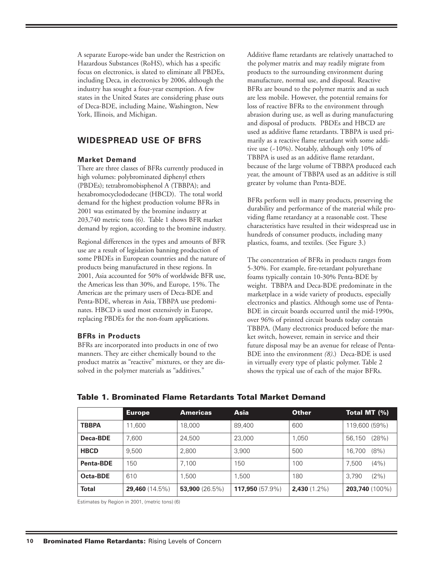A separate Europe-wide ban under the Restriction on Hazardous Substances (RoHS), which has a specific focus on electronics, is slated to eliminate all PBDEs, including Deca, in electronics by 2006, although the industry has sought a four-year exemption. A few states in the United States are considering phase outs of Deca-BDE, including Maine, Washington, New York, Illinois, and Michigan.

## **WIDESPREAD USE OF BFRS**

#### **Market Demand**

There are three classes of BFRs currently produced in high volumes: polybrominated diphenyl ethers (PBDEs); tetrabromobisphenol A (TBBPA); and hexabromocyclododecane (HBCD). The total world demand for the highest production volume BFRs in 2001 was estimated by the bromine industry at 203,740 metric tons (6). Table 1 shows BFR market demand by region, according to the bromine industry.

Regional differences in the types and amounts of BFR use are a result of legislation banning production of some PBDEs in European countries and the nature of products being manufactured in these regions. In 2001, Asia accounted for 50% of worldwide BFR use, the Americas less than 30%, and Europe, 15%. The Americas are the primary users of Deca-BDE and Penta-BDE, whereas in Asia, TBBPA use predominates. HBCD is used most extensively in Europe, replacing PBDEs for the non-foam applications.

#### **BFRs in Products**

BFRs are incorporated into products in one of two manners. They are either chemically bound to the product matrix as "reactive" mixtures, or they are dissolved in the polymer materials as "additives."

Additive flame retardants are relatively unattached to the polymer matrix and may readily migrate from products to the surrounding environment during manufacture, normal use, and disposal. Reactive BFRs are bound to the polymer matrix and as such are less mobile. However, the potential remains for loss of reactive BFRs to the environment through abrasion during use, as well as during manufacturing and disposal of products. PBDEs and HBCD are used as additive flame retardants. TBBPA is used primarily as a reactive flame retardant with some additive use (~10%). Notably, although only 10% of TBBPA is used as an additive flame retardant, because of the large volume of TBBPA produced each year, the amount of TBBPA used as an additive is still greater by volume than Penta-BDE.

BFRs perform well in many products, preserving the durability and performance of the material while providing flame retardancy at a reasonable cost. These characteristics have resulted in their widespread use in hundreds of consumer products, including many plastics, foams, and textiles. (See Figure 3.)

The concentration of BFRs in products ranges from 5-30%. For example, fire-retardant polyurethane foams typically contain 10-30% Penta-BDE by weight. TBBPA and Deca-BDE predominate in the marketplace in a wide variety of products, especially electronics and plastics. Although some use of Penta-BDE in circuit boards occurred until the mid-1990s, over 96% of printed circuit boards today contain TBBPA. (Many electronics produced before the market switch, however, remain in service and their future disposal may be an avenue for release of Penta-BDE into the environment *(8)*.) Deca-BDE is used in virtually every type of plastic polymer. Table 2 shows the typical use of each of the major BFRs.

|                  | <b>Europe</b>            | <b>Americas</b>  | Asia                      | <b>Other</b>           | Total MT (%)          |
|------------------|--------------------------|------------------|---------------------------|------------------------|-----------------------|
| <b>TBBPA</b>     | 11,600                   | 18.000           | 89,400                    | 600                    | 119,600 (59%)         |
| Deca-BDE         | 7.600                    | 24,500           | 23,000                    | 1,050                  | (28%)<br>56.150       |
| <b>HBCD</b>      | 9.500                    | 2,800            | 3,900                     | 500                    | (8% )<br>16.700       |
| <b>Penta-BDE</b> | 150                      | 7,100            | 150                       | 100                    | (4% )<br>7,500        |
| Octa-BDE         | 610                      | 1,500            | 1.500                     | 180                    | $(2\%)$<br>3.790      |
| <b>Total</b>     | <b>29,460</b> $(14.5\%)$ | 53,900 $(26.5%)$ | <b>117,950</b> $(57.9\%)$ | <b>2,430</b> $(1.2\%)$ | <b>203,740</b> (100%) |

### **Table 1. Brominated Flame Retardants Total Market Demand**

Estimates by Region in 2001, (metric tons) (6)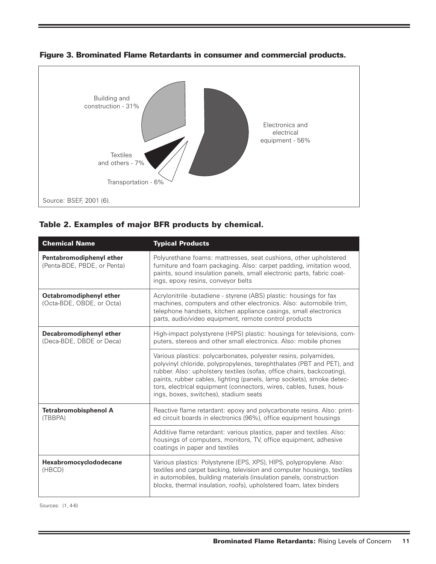

**Figure 3. Brominated Flame Retardants in consumer and commercial products.**



| <b>Chemical Name</b>                                    | <b>Typical Products</b>                                                                                                                                                                                                                                                                                                                                                                                    |
|---------------------------------------------------------|------------------------------------------------------------------------------------------------------------------------------------------------------------------------------------------------------------------------------------------------------------------------------------------------------------------------------------------------------------------------------------------------------------|
| Pentabromodiphenyl ether<br>(Penta-BDE, PBDE, or Penta) | Polyurethane foams: mattresses, seat cushions, other upholstered<br>furniture and foam packaging. Also: carpet padding, imitation wood,<br>paints, sound insulation panels, small electronic parts, fabric coat-<br>ings, epoxy resins, conveyor belts                                                                                                                                                     |
| Octabromodiphenyl ether<br>(Octa-BDE, OBDE, or Octa)    | Acrylonitrile -butadiene - styrene (ABS) plastic: housings for fax<br>machines, computers and other electronics. Also: automobile trim,<br>telephone handsets, kitchen appliance casings, small electronics<br>parts, audio/video equipment, remote control products                                                                                                                                       |
| Decabromodiphenyl ether<br>(Deca-BDE, DBDE or Deca)     | High-impact polystyrene (HIPS) plastic: housings for televisions, com-<br>puters, stereos and other small electronics. Also: mobile phones                                                                                                                                                                                                                                                                 |
|                                                         | Various plastics: polycarbonates, polyester resins, polyamides,<br>polyvinyl chloride, polypropylenes, terephthalates (PBT and PET), and<br>rubber. Also: upholstery textiles (sofas, office chairs, backcoating),<br>paints, rubber cables, lighting (panels, lamp sockets), smoke detec-<br>tors, electrical equipment (connectors, wires, cables, fuses, hous-<br>ings, boxes, switches), stadium seats |
| <b>Tetrabromobisphenol A</b><br>(TBBPA)                 | Reactive flame retardant: epoxy and polycarbonate resins. Also: print-<br>ed circuit boards in electronics (96%), office equipment housings                                                                                                                                                                                                                                                                |
|                                                         | Additive flame retardant: various plastics, paper and textiles. Also:<br>housings of computers, monitors, TV, office equipment, adhesive<br>coatings in paper and textiles                                                                                                                                                                                                                                 |
| Hexabromocyclododecane<br>(HBCD)                        | Various plastics: Polystyrene (EPS, XPS), HIPS, polypropylene. Also:<br>textiles and carpet backing, television and computer housings, textiles<br>in automobiles, building materials (insulation panels, construction<br>blocks, thermal insulation, roofs), upholstered foam, latex binders                                                                                                              |

Sources: (1, 4-6)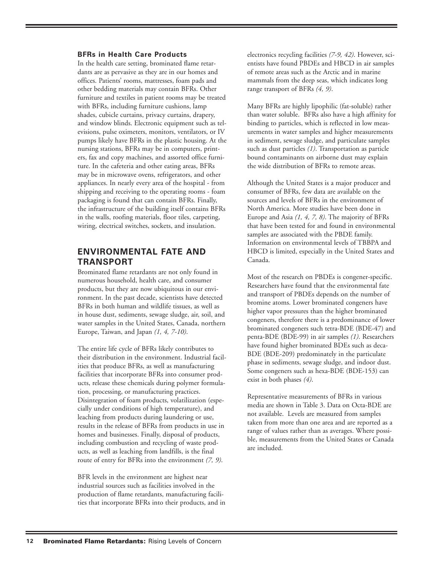#### **BFRs in Health Care Products**

In the health care setting, brominated flame retardants are as pervasive as they are in our homes and offices. Patients' rooms, mattresses, foam pads and other bedding materials may contain BFRs. Other furniture and textiles in patient rooms may be treated with BFRs, including furniture cushions, lamp shades, cubicle curtains, privacy curtains, drapery, and window blinds. Electronic equipment such as televisions, pulse oximeters, monitors, ventilators, or IV pumps likely have BFRs in the plastic housing. At the nursing stations, BFRs may be in computers, printers, fax and copy machines, and assorted office furniture. In the cafeteria and other eating areas, BFRs may be in microwave ovens, refrigerators, and other appliances. In nearly every area of the hospital - from shipping and receiving to the operating rooms - foam packaging is found that can contain BFRs. Finally, the infrastructure of the building itself contains BFRs in the walls, roofing materials, floor tiles, carpeting, wiring, electrical switches, sockets, and insulation.

## **ENVIRONMENTAL FATE AND TRANSPORT**

Brominated flame retardants are not only found in numerous household, health care, and consumer products, but they are now ubiquitous in our environment. In the past decade, scientists have detected BFRs in both human and wildlife tissues, as well as in house dust, sediments, sewage sludge, air, soil, and water samples in the United States, Canada, northern Europe, Taiwan, and Japan *(1, 4, 7-10)*.

The entire life cycle of BFRs likely contributes to their distribution in the environment. Industrial facilities that produce BFRs, as well as manufacturing facilities that incorporate BFRs into consumer products, release these chemicals during polymer formulation, processing, or manufacturing practices. Disintegration of foam products, volatilization (especially under conditions of high temperature), and leaching from products during laundering or use, results in the release of BFRs from products in use in homes and businesses. Finally, disposal of products, including combustion and recycling of waste products, as well as leaching from landfills, is the final route of entry for BFRs into the environment *(7, 9)*.

BFR levels in the environment are highest near industrial sources such as facilities involved in the production of flame retardants, manufacturing facilities that incorporate BFRs into their products, and in electronics recycling facilities *(7-9, 42)*. However, scientists have found PBDEs and HBCD in air samples of remote areas such as the Arctic and in marine mammals from the deep seas, which indicates long range transport of BFRs *(4, 9)*.

Many BFRs are highly lipophilic (fat-soluble) rather than water soluble. BFRs also have a high affinity for binding to particles, which is reflected in low measurements in water samples and higher measurements in sediment, sewage sludge, and particulate samples such as dust particles *(1)*. Transportation as particle bound contaminants on airborne dust may explain the wide distribution of BFRs to remote areas.

Although the United States is a major producer and consumer of BFRs, few data are available on the sources and levels of BFRs in the environment of North America. More studies have been done in Europe and Asia *(1, 4, 7, 8)*. The majority of BFRs that have been tested for and found in environmental samples are associated with the PBDE family. Information on environmental levels of TBBPA and HBCD is limited, especially in the United States and Canada.

Most of the research on PBDEs is congener-specific. Researchers have found that the environmental fate and transport of PBDEs depends on the number of bromine atoms. Lower brominated congeners have higher vapor pressures than the higher brominated congeners, therefore there is a predominance of lower brominated congeners such tetra-BDE (BDE-47) and penta-BDE (BDE-99) in air samples *(1)*. Researchers have found higher brominated BDEs such as deca-BDE (BDE-209) predominately in the particulate phase in sediments, sewage sludge, and indoor dust. Some congeners such as hexa-BDE (BDE-153) can exist in both phases *(4)*.

Representative measurements of BFRs in various media are shown in Table 3. Data on Octa-BDE are not available. Levels are measured from samples taken from more than one area and are reported as a range of values rather than as averages. Where possible, measurements from the United States or Canada are included.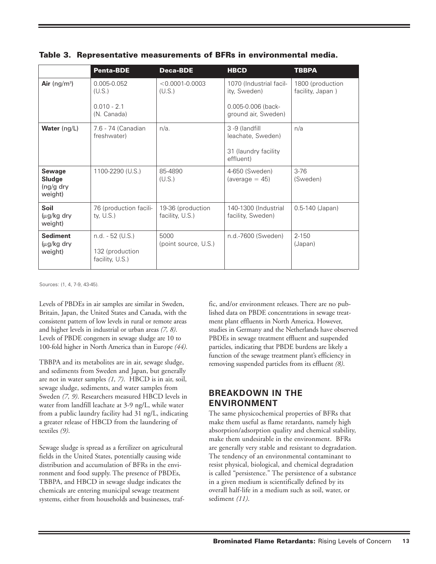|                                                   | <b>Penta-BDE</b>                                         | <b>Deca-BDE</b>                      | <b>HBCD</b>                               | <b>TBBPA</b>                         |
|---------------------------------------------------|----------------------------------------------------------|--------------------------------------|-------------------------------------------|--------------------------------------|
| Air (ng/m <sup>3</sup> )                          | 0.005-0.052<br>(U.S.)                                    | $< 0.0001 - 0.0003$<br>(U.S.)        | 1070 (Industrial facil-<br>ity, Sweden)   | 1800 (production<br>facility, Japan) |
|                                                   | $0.010 - 2.1$<br>(N. Canada)                             |                                      | 0.005-0.006 (back-<br>ground air, Sweden) |                                      |
| Water (ng/L)                                      | 7.6 - 74 (Canadian<br>freshwater)                        | $n/a$ .                              | 3 -9 (landfill<br>leachate, Sweden)       | n/a                                  |
|                                                   |                                                          |                                      | 31 (laundry facility<br>effluent)         |                                      |
| Sewage<br><b>Sludge</b><br>$(ng/g$ dry<br>weight) | 1100-2290 (U.S.)                                         | 85-4890<br>(U.S.)                    | 4-650 (Sweden)<br>$(average = 45)$        | $3 - 76$<br>(Sweden)                 |
| Soil<br>(μg/kg dry<br>weight)                     | 76 (production facili-<br>ty, $U.S.$ )                   | 19-36 (production<br>facility, U.S.) | 140-1300 (Industrial<br>facility, Sweden) | $0.5 - 140$ (Japan)                  |
| <b>Sediment</b><br>$\mu$ g/kg dry<br>weight)      | $n.d. - 52 (U.S.)$<br>132 (production<br>facility, U.S.) | 5000<br>(point source, U.S.)         | n.d.-7600 (Sweden)                        | $2 - 150$<br>(Japan)                 |

**Table 3. Representative measurements of BFRs in environmental media.**

Sources: (1, 4, 7-9, 43-45).

Levels of PBDEs in air samples are similar in Sweden, Britain, Japan, the United States and Canada, with the consistent pattern of low levels in rural or remote areas and higher levels in industrial or urban areas *(7, 8)*. Levels of PBDE congeners in sewage sludge are 10 to 100-fold higher in North America than in Europe *(44)*.

TBBPA and its metabolites are in air, sewage sludge, and sediments from Sweden and Japan, but generally are not in water samples *(1, 7)*. HBCD is in air, soil, sewage sludge, sediments, and water samples from Sweden *(7, 9)*. Researchers measured HBCD levels in water from landfill leachate at 3-9 ng/L, while water from a public laundry facility had 31 ng/L, indicating a greater release of HBCD from the laundering of textiles *(9)*.

Sewage sludge is spread as a fertilizer on agricultural fields in the United States, potentially causing wide distribution and accumulation of BFRs in the environment and food supply. The presence of PBDEs, TBBPA, and HBCD in sewage sludge indicates the chemicals are entering municipal sewage treatment systems, either from households and businesses, traffic, and/or environment releases. There are no published data on PBDE concentrations in sewage treatment plant effluents in North America. However, studies in Germany and the Netherlands have observed PBDEs in sewage treatment effluent and suspended particles, indicating that PBDE burdens are likely a function of the sewage treatment plant's efficiency in removing suspended particles from its effluent *(8)*.

# **BREAKDOWN IN THE ENVIRONMENT**

The same physicochemical properties of BFRs that make them useful as flame retardants, namely high absorption/adsorption quality and chemical stability, make them undesirable in the environment. BFRs are generally very stable and resistant to degradation. The tendency of an environmental contaminant to resist physical, biological, and chemical degradation is called "persistence." The persistence of a substance in a given medium is scientifically defined by its overall half-life in a medium such as soil, water, or sediment *(11)*.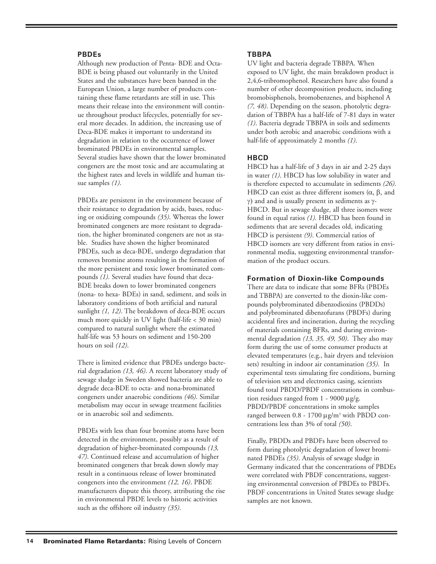#### **PBDEs**

Although new production of Penta- BDE and Octa-BDE is being phased out voluntarily in the United States and the substances have been banned in the European Union, a large number of products containing these flame retardants are still in use. This means their release into the environment will continue throughout product lifecycles, potentially for several more decades. In addition, the increasing use of Deca-BDE makes it important to understand its degradation in relation to the occurrence of lower brominated PBDEs in environmental samples. Several studies have shown that the lower brominated congeners are the most toxic and are accumulating at the highest rates and levels in wildlife and human tissue samples *(1)*.

PBDEs are persistent in the environment because of their resistance to degradation by acids, bases, reducing or oxidizing compounds *(35)*. Whereas the lower brominated congeners are more resistant to degradation, the higher brominated congeners are not as stable. Studies have shown the higher brominated PBDEs, such as deca-BDE, undergo degradation that removes bromine atoms resulting in the formation of the more persistent and toxic lower brominated compounds *(1)*. Several studies have found that deca-BDE breaks down to lower brominated congeners (nona- to hexa- BDEs) in sand, sediment, and soils in laboratory conditions of both artificial and natural sunlight *(1, 12)*. The breakdown of deca-BDE occurs much more quickly in UV light (half-life < 30 min) compared to natural sunlight where the estimated half-life was 53 hours on sediment and 150-200 hours on soil *(12)*.

There is limited evidence that PBDEs undergo bacterial degradation *(13, 46)*. A recent laboratory study of sewage sludge in Sweden showed bacteria are able to degrade deca-BDE to octa- and nona-brominated congeners under anaerobic conditions *(46)*. Similar metabolism may occur in sewage treatment facilities or in anaerobic soil and sediments.

PBDEs with less than four bromine atoms have been detected in the environment, possibly as a result of degradation of higher-brominated compounds *(13, 47)*. Continued release and accumulation of higher brominated congeners that break down slowly may result in a continuous release of lower brominated congeners into the environment *(12, 16)*. PBDE manufacturers dispute this theory, attributing the rise in environmental PBDE levels to historic activities such as the offshore oil industry *(35)*.

#### **TBBPA**

UV light and bacteria degrade TBBPA. When exposed to UV light, the main breakdown product is 2,4,6-tribromophenol. Researchers have also found a number of other decomposition products, including bromobisphenols, bromobenzenes, and bisphenol A *(7, 48)*. Depending on the season, photolytic degradation of TBBPA has a half-life of 7-81 days in water *(1)*. Bacteria degrade TBBPA in soils and sediments under both aerobic and anaerobic conditions with a half-life of approximately 2 months *(1)*.

#### **HBCD**

HBCD has a half-life of 3 days in air and 2-25 days in water *(1)*. HBCD has low solubility in water and is therefore expected to accumulate in sediments *(26)*. HBCD can exist as three different isomers  $(\alpha, \beta, \text{ and})$ γ) and and is usually present in sediments as γ-HBCD. But in sewage sludge, all three isomers were found in equal ratios *(1).* HBCD has been found in sediments that are several decades old, indicating HBCD is persistent *(9)*. Commercial ratios of HBCD isomers are very different from ratios in environmental media, suggesting environmental transformation of the product occurs.

#### **Formation of Dioxin-like Compounds**

There are data to indicate that some BFRs (PBDEs and TBBPA) are converted to the dioxin-like compounds polybrominated dibenzodioxins (PBDDs) and polybrominated dibenzofurans (PBDFs) during accidental fires and incineration, during the recycling of materials containing BFRs, and during environmental degradation *(13, 35, 49, 50)*. They also may form during the use of some consumer products at elevated temperatures (e.g., hair dryers and television sets) resulting in indoor air contamination *(35)*. In experimental tests simulating fire conditions, burning of television sets and electronics casing, scientists found total PBDD/PBDF concentrations in combustion residues ranged from 1 - 9000 µg/g. PBDD/PBDF concentrations in smoke samples ranged between 0.8 - 1700 µg/m3 with PBDD concentrations less than 3% of total *(50)*.

Finally, PBDDs and PBDFs have been observed to form during photolytic degradation of lower brominated PBDEs *(35)*. Analysis of sewage sludge in Germany indicated that the concentrations of PBDEs were correlated with PBDF concentrations, suggesting environmental conversion of PBDEs to PBDFs. PBDF concentrations in United States sewage sludge samples are not known.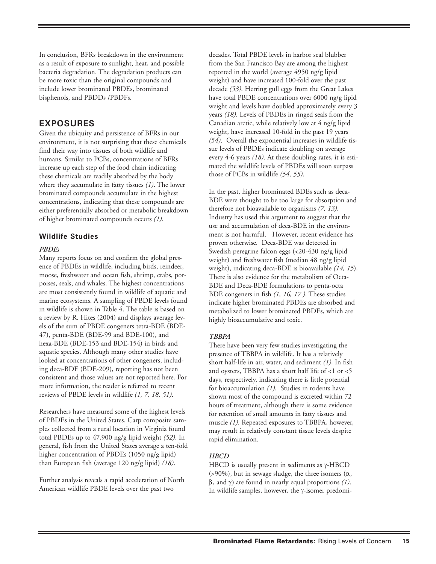In conclusion, BFRs breakdown in the environment as a result of exposure to sunlight, heat, and possible bacteria degradation. The degradation products can be more toxic than the original compounds and include lower brominated PBDEs, brominated bisphenols, and PBDDs /PBDFs.

### **EXPOSURES**

Given the ubiquity and persistence of BFRs in our environment, it is not surprising that these chemicals find their way into tissues of both wildlife and humans. Similar to PCBs, concentrations of BFRs increase up each step of the food chain indicating these chemicals are readily absorbed by the body where they accumulate in fatty tissues *(1)*. The lower brominated compounds accumulate in the highest concentrations, indicating that these compounds are either preferentially absorbed or metabolic breakdown of higher brominated compounds occurs *(1)*.

#### **Wildlife Studies**

#### *PBDEs*

Many reports focus on and confirm the global presence of PBDEs in wildlife, including birds, reindeer, moose, freshwater and ocean fish, shrimp, crabs, porpoises, seals, and whales. The highest concentrations are most consistently found in wildlife of aquatic and marine ecosystems. A sampling of PBDE levels found in wildlife is shown in Table 4. The table is based on a review by R. Hites (2004) and displays average levels of the sum of PBDE congeners tetra-BDE (BDE-47), penta-BDE (BDE-99 and BDE-100), and hexa-BDE (BDE-153 and BDE-154) in birds and aquatic species. Although many other studies have looked at concentrations of other congeners, including deca-BDE (BDE-209), reporting has not been consistent and those values are not reported here. For more information, the reader is referred to recent reviews of PBDE levels in wildlife *(1, 7, 18, 51)*.

Researchers have measured some of the highest levels of PBDEs in the United States. Carp composite samples collected from a rural location in Virginia found total PBDEs up to 47,900 ng/g lipid weight *(52)*. In general, fish from the United States average a ten-fold higher concentration of PBDEs (1050 ng/g lipid) than European fish (average 120 ng/g lipid) *(18)*.

Further analysis reveals a rapid acceleration of North American wildlife PBDE levels over the past two

decades. Total PBDE levels in harbor seal blubber from the San Francisco Bay are among the highest reported in the world (average 4950 ng/g lipid weight) and have increased 100-fold over the past decade *(53)*. Herring gull eggs from the Great Lakes have total PBDE concentrations over 6000 ng/g lipid weight and levels have doubled approximately every 3 years *(18)*. Levels of PBDEs in ringed seals from the Canadian arctic, while relatively low at 4 ng/g lipid weight, have increased 10-fold in the past 19 years *(54)*. Overall the exponential increases in wildlife tissue levels of PBDEs indicate doubling on average every 4-6 years *(18)*. At these doubling rates, it is estimated the wildlife levels of PBDEs will soon surpass those of PCBs in wildlife *(54, 55)*.

In the past, higher brominated BDEs such as deca-BDE were thought to be too large for absorption and therefore not bioavailable to organisms *(7, 13)*. Industry has used this argument to suggest that the use and accumulation of deca-BDE in the environment is not harmful. However, recent evidence has proven otherwise. Deca-BDE was detected in Swedish peregrine falcon eggs (<20-430 ng/g lipid weight) and freshwater fish (median 48 ng/g lipid weight), indicating deca-BDE is bioavailable *(14, 15*). There is also evidence for the metabolism of Octa-BDE and Deca-BDE formulations to penta-octa BDE congeners in fish *(1, 16, 17 )*. These studies indicate higher brominated PBDEs are absorbed and metabolized to lower brominated PBDEs, which are highly bioaccumulative and toxic.

#### *TBBPA*

There have been very few studies investigating the presence of TBBPA in wildlife. It has a relatively short half-life in air, water, and sediment *(1)*. In fish and oysters, TBBPA has a short half life of <1 or <5 days, respectively, indicating there is little potential for bioaccumulation *(1)*. Studies in rodents have shown most of the compound is excreted within 72 hours of treatment, although there is some evidence for retention of small amounts in fatty tissues and muscle *(1)*. Repeated exposures to TBBPA, however, may result in relatively constant tissue levels despite rapid elimination.

#### *HBCD*

HBCD is usually present in sediments as γ-HBCD (>90%), but in sewage sludge, the three isomers  $(\alpha, \beta)$ β, and γ) are found in nearly equal proportions *(1)*. In wildlife samples, however, the γ-isomer predomi-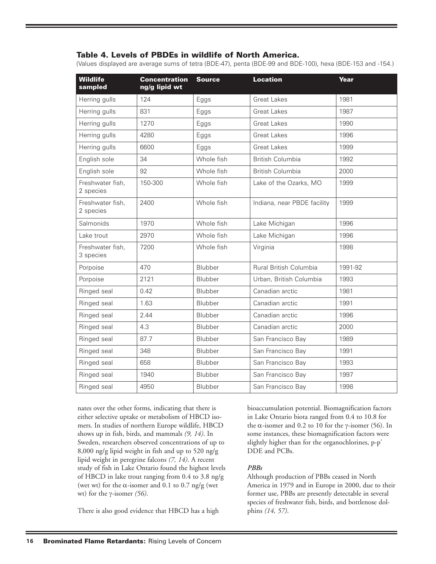#### **Table 4. Levels of PBDEs in wildlife of North America.**

(Values displayed are average sums of tetra (BDE-47), penta (BDE-99 and BDE-100), hexa (BDE-153 and -154.)

| <b>Wildlife</b><br>sampled    | <b>Concentration</b><br>ng/g lipid wt | <b>Source</b> | <b>Location</b>             | Year    |
|-------------------------------|---------------------------------------|---------------|-----------------------------|---------|
| Herring gulls                 | 124                                   | Eggs          | <b>Great Lakes</b>          | 1981    |
| Herring gulls                 | 831                                   | Eggs          | <b>Great Lakes</b>          | 1987    |
| Herring gulls                 | 1270                                  | Eggs          | <b>Great Lakes</b>          | 1990    |
| Herring gulls                 | 4280                                  | Eggs          | <b>Great Lakes</b>          | 1996    |
| Herring gulls                 | 6600                                  | Eggs          | <b>Great Lakes</b>          | 1999    |
| English sole                  | 34                                    | Whole fish    | <b>British Columbia</b>     | 1992    |
| English sole                  | 92                                    | Whole fish    | <b>British Columbia</b>     | 2000    |
| Freshwater fish,<br>2 species | 150-300                               | Whole fish    | Lake of the Ozarks, MO      | 1999    |
| Freshwater fish,<br>2 species | 2400                                  | Whole fish    | Indiana, near PBDE facility | 1999    |
| Salmonids                     | 1970                                  | Whole fish    | Lake Michigan               | 1996    |
| Lake trout                    | 2970                                  | Whole fish    | Lake Michigan               | 1996    |
| Freshwater fish,<br>3 species | 7200                                  | Whole fish    | Virginia                    | 1998    |
| Porpoise                      | 470                                   | Blubber       | Rural British Columbia      | 1991-92 |
| Porpoise                      | 2121                                  | Blubber       | Urban, British Columbia     | 1993    |
| Ringed seal                   | 0.42                                  | Blubber       | Canadian arctic             | 1981    |
| Ringed seal                   | 1.63                                  | Blubber       | Canadian arctic             | 1991    |
| Ringed seal                   | 2.44                                  | Blubber       | Canadian arctic             | 1996    |
| Ringed seal                   | 4.3                                   | Blubber       | Canadian arctic             | 2000    |
| Ringed seal                   | 87.7                                  | Blubber       | San Francisco Bay           | 1989    |
| Ringed seal                   | 348                                   | Blubber       | San Francisco Bay           | 1991    |
| Ringed seal                   | 658                                   | Blubber       | San Francisco Bay           | 1993    |
| Ringed seal                   | 1940                                  | Blubber       | San Francisco Bay           | 1997    |
| Ringed seal                   | 4950                                  | Blubber       | San Francisco Bay           | 1998    |

nates over the other forms, indicating that there is either selective uptake or metabolism of HBCD isomers. In studies of northern Europe wildlife, HBCD shows up in fish, birds, and mammals *(9, 14)*. In Sweden, researchers observed concentrations of up to 8,000 ng/g lipid weight in fish and up to 520 ng/g lipid weight in peregrine falcons *(7, 14)*. A recent study of fish in Lake Ontario found the highest levels of HBCD in lake trout ranging from 0.4 to 3.8 ng/g (wet wt) for the  $\alpha$ -isomer and 0.1 to 0.7 ng/g (wet wt) for the γ-isomer *(56)*.

There is also good evidence that HBCD has a high

bioaccumulation potential. Biomagnification factors in Lake Ontario biota ranged from 0.4 to 10.8 for the α-isomer and 0.2 to 10 for the γ-isomer (56). In some instances, these biomagnification factors were slightly higher than for the organochlorines, p-p' DDE and PCBs.

#### *PBBs*

Although production of PBBs ceased in North America in 1979 and in Europe in 2000, due to their former use, PBBs are presently detectable in several species of freshwater fish, birds, and bottlenose dolphins *(14, 57)*.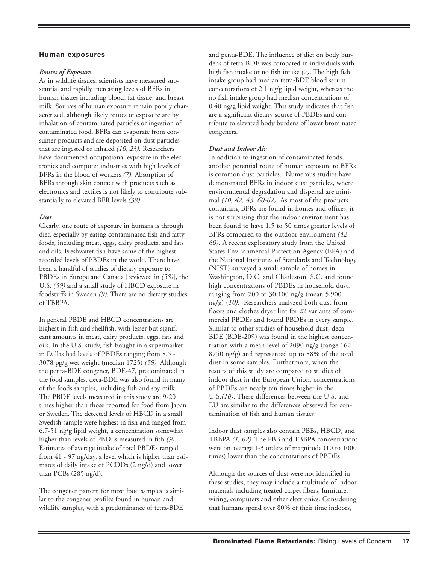#### **Human exposures**

#### *Routes of Exposure*

As in wildlife tissues, scientists have measured substantial and rapidly increasing levels of BFRs in human tissues including blood, fat tissue, and breast milk. Sources of human exposure remain poorly characterized, although likely routes of exposure are by inhalation of contaminated particles or ingestion of contaminated food. BFRs can evaporate from consumer products and are deposited on dust particles that are ingested or inhaled *(10, 23)*. Researchers have documented occupational exposure in the electronics and computer industries with high levels of BFRs in the blood of workers *(7)*. Absorption of BFRs through skin contact with products such as electronics and textiles is not likely to contribute substantially to elevated BFR levels *(38)*.

#### *Diet*

Clearly, one route of exposure in humans is through diet, especially by eating contaminated fish and fatty foods, including meat, eggs, dairy products, and fats and oils. Freshwater fish have some of the highest recorded levels of PBDEs in the world. There have been a handful of studies of dietary exposure to PBDEs in Europe and Canada [reviewed in *(58)*], the U.S. *(59)* and a small study of HBCD exposure in foodstuffs in Sweden *(9)*. There are no dietary studies of TBBPA.

In general PBDE and HBCD concentrations are highest in fish and shellfish, with lesser but significant amounts in meat, dairy products, eggs, fats and oils. In the U.S. study, fish bought in a supermarket in Dallas had levels of PBDEs ranging from 8.5 - 3078 pg/g wet weight (median 1725) *(59)*. Although the penta-BDE congener, BDE-47, predominated in the food samples, deca-BDE was also found in many of the foods samples, including fish and soy milk. The PBDE levels measured in this study are 9-20 times higher than those reported for food from Japan or Sweden. The detected levels of HBCD in a small Swedish sample were highest in fish and ranged from 6.7-51 ng/g lipid weight, a concentration somewhat higher than levels of PBDEs measured in fish *(9)*. Estimates of average intake of total PBDEs ranged from 41 - 97 ng/day, a level which is higher than estimates of daily intake of PCDDs (2 ng/d) and lower than PCBs (285 ng/d).

The congener pattern for most food samples is similar to the congener profiles found in human and wildlife samples, with a predominance of tetra-BDE

and penta-BDE. The influence of diet on body burdens of tetra-BDE was compared in individuals with high fish intake or no fish intake *(7)*. The high fish intake group had median tetra-BDE blood serum concentrations of 2.1 ng/g lipid weight, whereas the no fish intake group had median concentrations of 0.40 ng/g lipid weight. This study indicates that fish are a significant dietary source of PBDEs and contribute to elevated body burdens of lower brominated congeners.

#### *Dust and Indoor Air*

In addition to ingestion of contaminated foods, another potential route of human exposure to BFRs is common dust particles. Numerous studies have demonstrated BFRs in indoor dust particles, where environmental degradation and dispersal are minimal *(10, 42, 43, 60-62)*. As most of the products containing BFRs are found in homes and offices, it is not surprising that the indoor environment has been found to have 1.5 to 50 times greater levels of BFRs compared to the outdoor environment *(42, 60)*. A recent exploratory study from the United States Environmental Protection Agency (EPA) and the National Institutes of Standards and Technology (NIST) surveyed a small sample of homes in Washington, D.C. and Charleston, S.C. and found high concentrations of PBDEs in household dust, ranging from 700 to 30,100 ng/g (mean 5,900 ng/g) (*10)*. Researchers analyzed both dust from floors and clothes dryer lint for 22 variants of commercial PBDEs and found PBDEs in every sample. Similar to other studies of household dust, deca-BDE (BDE-209) was found in the highest concentration with a mean level of 2090 ng/g (range 162 - 8750 ng/g) and represented up to 88% of the total dust in some samples. Furthermore, when the results of this study are compared to studies of indoor dust in the European Union, concentrations of PBDEs are nearly ten times higher in the U.S.*(10)*. These differences between the U.S. and EU are similar to the differences observed for contamination of fish and human tissues.

Indoor dust samples also contain PBBs, HBCD, and TBBPA *(1, 62)*. The PBB and TBBPA concentrations were on average 1-3 orders of magnitude (10 to 1000 times) lower than the concentrations of PBDEs.

Although the sources of dust were not identified in these studies, they may include a multitude of indoor materials including treated carpet fibers, furniture, wiring, computers and other electronics. Considering that humans spend over 80% of their time indoors,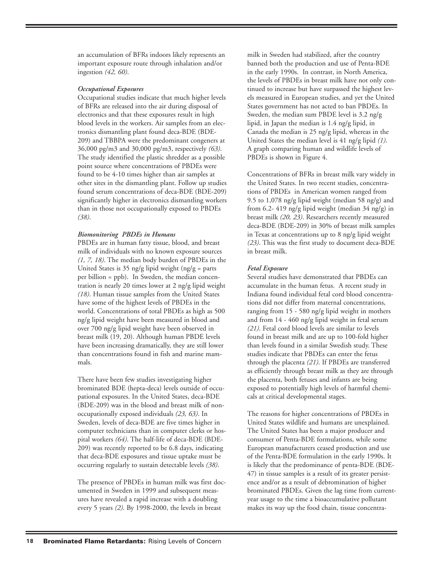an accumulation of BFRs indoors likely represents an important exposure route through inhalation and/or ingestion *(42, 60)*.

#### *Occupational Exposures*

Occupational studies indicate that much higher levels of BFRs are released into the air during disposal of electronics and that these exposures result in high blood levels in the workers. Air samples from an electronics dismantling plant found deca-BDE (BDE-209) and TBBPA were the predominant congeners at 36,000 pg/m3 and 30,000 pg/m3, respectively *(63)*. The study identified the plastic shredder as a possible point source where concentrations of PBDEs were found to be 4-10 times higher than air samples at other sites in the dismantling plant. Follow up studies found serum concentrations of deca-BDE (BDE-209) significantly higher in electronics dismantling workers than in those not occupationally exposed to PBDEs *(38)*.

#### *Biomonitoring PBDEs in Humans*

PBDEs are in human fatty tissue, blood, and breast milk of individuals with no known exposure sources *(1, 7, 18)*. The median body burden of PBDEs in the United States is 35 ng/g lipid weight (ng/g = parts) per billion = ppb). In Sweden, the median concentration is nearly 20 times lower at 2 ng/g lipid weight *(18)*. Human tissue samples from the United States have some of the highest levels of PBDEs in the world. Concentrations of total PBDEs as high as 500 ng/g lipid weight have been measured in blood and over 700 ng/g lipid weight have been observed in breast milk (19, 20). Although human PBDE levels have been increasing dramatically, they are still lower than concentrations found in fish and marine mammals.

There have been few studies investigating higher brominated BDE (hepta-deca) levels outside of occupational exposures. In the United States, deca-BDE (BDE-209) was in the blood and breast milk of nonoccupationally exposed individuals *(23, 63)*. In Sweden, levels of deca-BDE are five times higher in computer technicians than in computer clerks or hospital workers *(64)*. The half-life of deca-BDE (BDE-209) was recently reported to be 6.8 days, indicating that deca-BDE exposures and tissue uptake must be occurring regularly to sustain detectable levels *(38)*.

The presence of PBDEs in human milk was first documented in Sweden in 1999 and subsequent measures have revealed a rapid increase with a doubling every 5 years *(2)*. By 1998-2000, the levels in breast

milk in Sweden had stabilized, after the country banned both the production and use of Penta-BDE in the early 1990s. In contrast, in North America, the levels of PBDEs in breast milk have not only continued to increase but have surpassed the highest levels measured in European studies, and yet the United States government has not acted to ban PBDEs. In Sweden, the median sum PBDE level is 3.2 ng/g lipid, in Japan the median is 1.4 ng/g lipid, in Canada the median is 25 ng/g lipid, whereas in the United States the median level is 41 ng/g lipid *(1)*. A graph comparing human and wildlife levels of PBDEs is shown in Figure 4.

Concentrations of BFRs in breast milk vary widely in the United States. In two recent studies, concentrations of PBDEs in American women ranged from 9.5 to 1,078 ng/g lipid weight (median 58 ng/g) and from 6.2- 419 ng/g lipid weight (median 34 ng/g) in breast milk *(20, 23)*. Researchers recently measured deca-BDE (BDE-209) in 30% of breast milk samples in Texas at concentrations up to 8 ng/g lipid weight *(23)*. This was the first study to document deca-BDE in breast milk.

#### *Fetal Exposure*

Several studies have demonstrated that PBDEs can accumulate in the human fetus. A recent study in Indiana found individual fetal cord blood concentrations did not differ from maternal concentrations, ranging from 15 - 580 ng/g lipid weight in mothers and from 14 - 460 ng/g lipid weight in fetal serum *(21)*. Fetal cord blood levels are similar to levels found in breast milk and are up to 100-fold higher than levels found in a similar Swedish study. These studies indicate that PBDEs can enter the fetus through the placenta *(21)*. If PBDEs are transferred as efficiently through breast milk as they are through the placenta, both fetuses and infants are being exposed to potentially high levels of harmful chemicals at critical developmental stages.

The reasons for higher concentrations of PBDEs in United States wildlife and humans are unexplained. The United States has been a major producer and consumer of Penta-BDE formulations, while some European manufacturers ceased production and use of the Penta-BDE formulation in the early 1990s. It is likely that the predominance of penta-BDE (BDE-47) in tissue samples is a result of its greater persistence and/or as a result of debromination of higher brominated PBDEs. Given the lag time from currentyear usage to the time a bioaccumulative pollutant makes its way up the food chain, tissue concentra-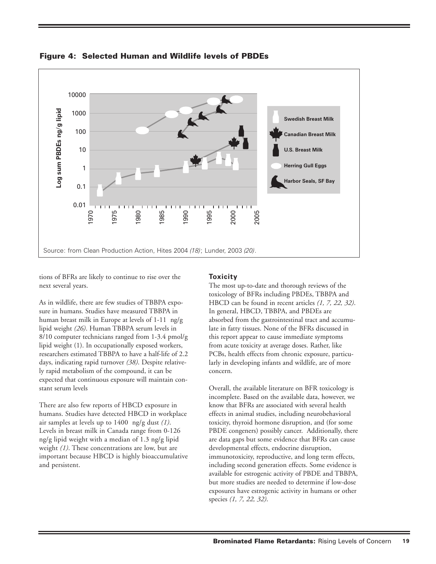

**Figure 4: Selected Human and Wildlife levels of PBDEs**

tions of BFRs are likely to continue to rise over the next several years.

As in wildlife, there are few studies of TBBPA exposure in humans. Studies have measured TBBPA in human breast milk in Europe at levels of 1-11 ng/g lipid weight *(26)*. Human TBBPA serum levels in 8/10 computer technicians ranged from 1-3.4 pmol/g lipid weight (1). In occupationally exposed workers, researchers estimated TBBPA to have a half-life of 2.2 days, indicating rapid turnover *(38)*. Despite relatively rapid metabolism of the compound, it can be expected that continuous exposure will maintain constant serum levels

There are also few reports of HBCD exposure in humans. Studies have detected HBCD in workplace air samples at levels up to 1400 ng/g dust *(1)*. Levels in breast milk in Canada range from 0-126 ng/g lipid weight with a median of 1.3 ng/g lipid weight *(1)*. These concentrations are low, but are important because HBCD is highly bioaccumulative and persistent.

#### **Toxicity**

The most up-to-date and thorough reviews of the toxicology of BFRs including PBDEs, TBBPA and HBCD can be found in recent articles *(1, 7, 22, 32)*. In general, HBCD, TBBPA, and PBDEs are absorbed from the gastrointestinal tract and accumulate in fatty tissues. None of the BFRs discussed in this report appear to cause immediate symptoms from acute toxicity at average doses. Rather, like PCBs, health effects from chronic exposure, particularly in developing infants and wildlife, are of more concern.

Overall, the available literature on BFR toxicology is incomplete. Based on the available data, however, we know that BFRs are associated with several health effects in animal studies, including neurobehavioral toxicity, thyroid hormone disruption, and (for some PBDE congeners) possibly cancer. Additionally, there are data gaps but some evidence that BFRs can cause developmental effects, endocrine disruption, immunotoxicity, reproductive, and long term effects, including second generation effects. Some evidence is available for estrogenic activity of PBDE and TBBPA, but more studies are needed to determine if low-dose exposures have estrogenic activity in humans or other species *(1, 7, 22, 32)*.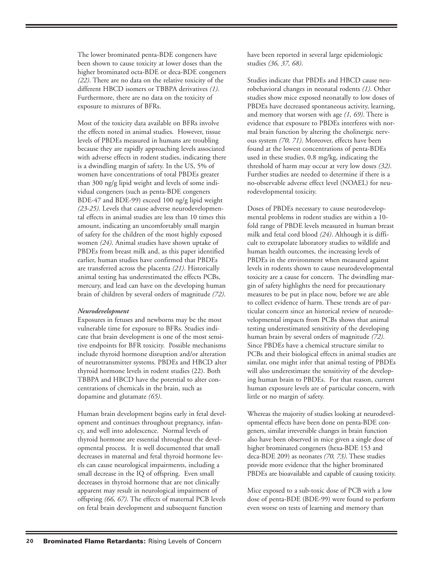The lower brominated penta-BDE congeners have been shown to cause toxicity at lower doses than the higher brominated octa-BDE or deca-BDE congeners *(22)*. There are no data on the relative toxicity of the different HBCD isomers or TBBPA derivatives *(1)*. Furthermore, there are no data on the toxicity of exposure to mixtures of BFRs.

Most of the toxicity data available on BFRs involve the effects noted in animal studies. However, tissue levels of PBDEs measured in humans are troubling because they are rapidly approaching levels associated with adverse effects in rodent studies, indicating there is a dwindling margin of safety. In the US, 5% of women have concentrations of total PBDEs greater than 300 ng/g lipid weight and levels of some individual congeners (such as penta-BDE congeners BDE-47 and BDE-99) exceed 100 ng/g lipid weight *(23-25)*. Levels that cause adverse neurodevelopmental effects in animal studies are less than 10 times this amount, indicating an uncomfortably small margin of safety for the children of the most highly exposed women *(24)*. Animal studies have shown uptake of PBDEs from breast milk and, as this paper identified earlier, human studies have confirmed that PBDEs are transferred across the placenta *(21)*. Historically animal testing has underestimated the effects PCBs, mercury, and lead can have on the developing human brain of children by several orders of magnitude *(72)*.

#### *Neurodevelopment*

Exposures in fetuses and newborns may be the most vulnerable time for exposure to BFRs. Studies indicate that brain development is one of the most sensitive endpoints for BFR toxicity. Possible mechanisms include thyroid hormone disruption and/or alteration of neurotransmitter systems. PBDEs and HBCD alter thyroid hormone levels in rodent studies (22). Both TBBPA and HBCD have the potential to alter concentrations of chemicals in the brain, such as dopamine and glutamate *(65)*.

Human brain development begins early in fetal development and continues throughout pregnancy, infancy, and well into adolescence. Normal levels of thyroid hormone are essential throughout the developmental process. It is well documented that small decreases in maternal and fetal thyroid hormone levels can cause neurological impairments, including a small decrease in the IQ of offspring. Even small decreases in thyroid hormone that are not clinically apparent may result in neurological impairment of offspring *(66, 67)*. The effects of maternal PCB levels on fetal brain development and subsequent function

have been reported in several large epidemiologic studies *(36, 37, 68)*.

Studies indicate that PBDEs and HBCD cause neurobehavioral changes in neonatal rodents *(1)*. Other studies show mice exposed neonatally to low doses of PBDEs have decreased spontaneous activity, learning, and memory that worsen with age *(1, 69)*. There is evidence that exposure to PBDEs interferes with normal brain function by altering the cholinergic nervous system *(70, 71)*. Moreover, effects have been found at the lowest concentrations of penta-BDEs used in these studies, 0.8 mg/kg, indicating the threshold of harm may occur at very low doses *(32)*. Further studies are needed to determine if there is a no-observable adverse effect level (NOAEL) for neurodevelopmental toxicity.

Doses of PBDEs necessary to cause neurodevelopmental problems in rodent studies are within a 10 fold range of PBDE levels measured in human breast milk and fetal cord blood *(24)*. Although it is difficult to extrapolate laboratory studies to wildlife and human health outcomes, the increasing levels of PBDEs in the environment when measured against levels in rodents shown to cause neurodevelopmental toxicity are a cause for concern. The dwindling margin of safety highlights the need for precautionary measures to be put in place now, before we are able to collect evidence of harm. These trends are of particular concern since an historical review of neurodevelopmental impacts from PCBs shows that animal testing underestimated sensitivity of the developing human brain by several orders of magnitude *(72)*. Since PBDEs have a chemical structure similar to PCBs and their biological effects in animal studies are similar, one might infer that animal testing of PBDEs will also underestimate the sensitivity of the developing human brain to PBDEs. For that reason, current human exposure levels are of particular concern, with little or no margin of safety.

Whereas the majority of studies looking at neurodevelopmental effects have been done on penta-BDE congeners, similar irreversible changes in brain function also have been observed in mice given a single dose of higher brominated congeners (hexa-BDE 153 and deca-BDE 209) as neonates *(70, 73)*. These studies provide more evidence that the higher brominated PBDEs are bioavailable and capable of causing toxicity.

Mice exposed to a sub-toxic dose of PCB with a low dose of penta-BDE (BDE-99) were found to perform even worse on tests of learning and memory than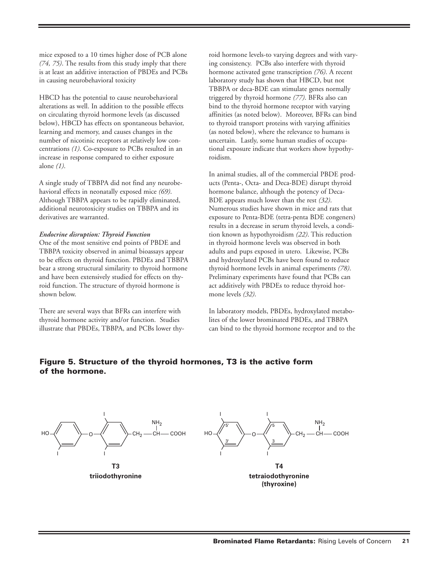mice exposed to a 10 times higher dose of PCB alone *(74, 75)*. The results from this study imply that there is at least an additive interaction of PBDEs and PCBs in causing neurobehavioral toxicity

HBCD has the potential to cause neurobehavioral alterations as well. In addition to the possible effects on circulating thyroid hormone levels (as discussed below), HBCD has effects on spontaneous behavior, learning and memory, and causes changes in the number of nicotinic receptors at relatively low concentrations *(1)*. Co-exposure to PCBs resulted in an increase in response compared to either exposure alone *(1)*.

A single study of TBBPA did not find any neurobehavioral effects in neonatally exposed mice *(69)*. Although TBBPA appears to be rapidly eliminated, additional neurotoxicity studies on TBBPA and its derivatives are warranted.

#### *Endocrine disruption: Thyroid Function*

One of the most sensitive end points of PBDE and TBBPA toxicity observed in animal bioassays appear to be effects on thyroid function. PBDEs and TBBPA bear a strong structural similarity to thyroid hormone and have been extensively studied for effects on thyroid function. The structure of thyroid hormone is shown below.

There are several ways that BFRs can interfere with thyroid hormone activity and/or function. Studies illustrate that PBDEs, TBBPA, and PCBs lower thy-

roid hormone levels-to varying degrees and with varying consistency. PCBs also interfere with thyroid hormone activated gene transcription *(76)*. A recent laboratory study has shown that HBCD, but not TBBPA or deca-BDE can stimulate genes normally triggered by thyroid hormone *(77)*. BFRs also can bind to the thyroid hormone receptor with varying affinities (as noted below). Moreover, BFRs can bind to thyroid transport proteins with varying affinities (as noted below), where the relevance to humans is uncertain. Lastly, some human studies of occupational exposure indicate that workers show hypothyroidism.

In animal studies, all of the commercial PBDE products (Penta-, Octa- and Deca-BDE) disrupt thyroid hormone balance, although the potency of Deca-BDE appears much lower than the rest *(32)*. Numerous studies have shown in mice and rats that exposure to Penta-BDE (tetra-penta BDE congeners) results in a decrease in serum thyroid levels, a condition known as hypothyroidism *(22)*. This reduction in thyroid hormone levels was observed in both adults and pups exposed in utero. Likewise, PCBs and hydroxylated PCBs have been found to reduce thyroid hormone levels in animal experiments *(78)*. Preliminary experiments have found that PCBs can act additively with PBDEs to reduce thyroid hormone levels *(32)*.

In laboratory models, PBDEs, hydroxylated metabolites of the lower brominated PBDEs, and TBBPA can bind to the thyroid hormone receptor and to the

## **Figure 5. Structure of the thyroid hormones, T3 is the active form of the hormone.**

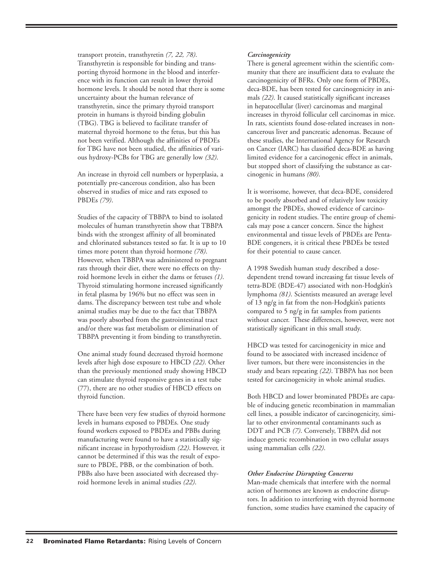transport protein, transthyretin *(7, 22, 78)*. Transthyretin is responsible for binding and transporting thyroid hormone in the blood and interference with its function can result in lower thyroid hormone levels. It should be noted that there is some uncertainty about the human relevance of transthyretin, since the primary thyroid transport protein in humans is thyroid binding globulin (TBG). TBG is believed to facilitate transfer of maternal thyroid hormone to the fetus, but this has not been verified. Although the affinities of PBDEs for TBG have not been studied, the affinities of various hydroxy-PCBs for TBG are generally low *(32)*.

An increase in thyroid cell numbers or hyperplasia, a potentially pre-cancerous condition, also has been observed in studies of mice and rats exposed to PBDEs *(79)*.

Studies of the capacity of TBBPA to bind to isolated molecules of human transthyretin show that TBBPA binds with the strongest affinity of all brominated and chlorinated substances tested so far. It is up to 10 times more potent than thyroid hormone *(78)*. However, when TBBPA was administered to pregnant rats through their diet, there were no effects on thyroid hormone levels in either the dams or fetuses *(1)*. Thyroid stimulating hormone increased significantly in fetal plasma by 196% but no effect was seen in dams. The discrepancy between test tube and whole animal studies may be due to the fact that TBBPA was poorly absorbed from the gastrointestinal tract and/or there was fast metabolism or elimination of TBBPA preventing it from binding to transthyretin.

One animal study found decreased thyroid hormone levels after high dose exposure to HBCD *(22)*. Other than the previously mentioned study showing HBCD can stimulate thyroid responsive genes in a test tube (77), there are no other studies of HBCD effects on thyroid function.

There have been very few studies of thyroid hormone levels in humans exposed to PBDEs. One study found workers exposed to PBDEs and PBBs during manufacturing were found to have a statistically significant increase in hypothyroidism *(22)*. However, it cannot be determined if this was the result of exposure to PBDE, PBB, or the combination of both. PBBs also have been associated with decreased thyroid hormone levels in animal studies *(22)*.

#### *Carcinogenicity*

There is general agreement within the scientific community that there are insufficient data to evaluate the carcinogenicity of BFRs. Only one form of PBDEs, deca-BDE, has been tested for carcinogenicity in animals *(22)*. It caused statistically significant increases in hepatocellular (liver) carcinomas and marginal increases in thyroid follicular cell carcinomas in mice. In rats, scientists found dose-related increases in noncancerous liver and pancreatic adenomas. Because of these studies, the International Agency for Research on Cancer (IARC) has classified deca-BDE as having limited evidence for a carcinogenic effect in animals, but stopped short of classifying the substance as carcinogenic in humans *(80)*.

It is worrisome, however, that deca-BDE, considered to be poorly absorbed and of relatively low toxicity amongst the PBDEs, showed evidence of carcinogenicity in rodent studies. The entire group of chemicals may pose a cancer concern. Since the highest environmental and tissue levels of PBDEs are Penta-BDE congeners, it is critical these PBDEs be tested for their potential to cause cancer.

A 1998 Swedish human study described a dosedependent trend toward increasing fat tissue levels of tetra-BDE (BDE-47) associated with non-Hodgkin's lymphoma *(81)*. Scientists measured an average level of 13 ng/g in fat from the non-Hodgkin's patients compared to 5 ng/g in fat samples from patients without cancer. These differences, however, were not statistically significant in this small study.

HBCD was tested for carcinogenicity in mice and found to be associated with increased incidence of liver tumors, but there were inconsistencies in the study and bears repeating *(22)*. TBBPA has not been tested for carcinogenicity in whole animal studies.

Both HBCD and lower brominated PBDEs are capable of inducing genetic recombination in mammalian cell lines, a possible indicator of carcinogenicity, similar to other environmental contaminants such as DDT and PCB *(7)*. Conversely, TBBPA did not induce genetic recombination in two cellular assays using mammalian cells *(22)*.

#### *Other Endocrine Disrupting Concerns*

Man-made chemicals that interfere with the normal action of hormones are known as endocrine disruptors. In addition to interfering with thyroid hormone function, some studies have examined the capacity of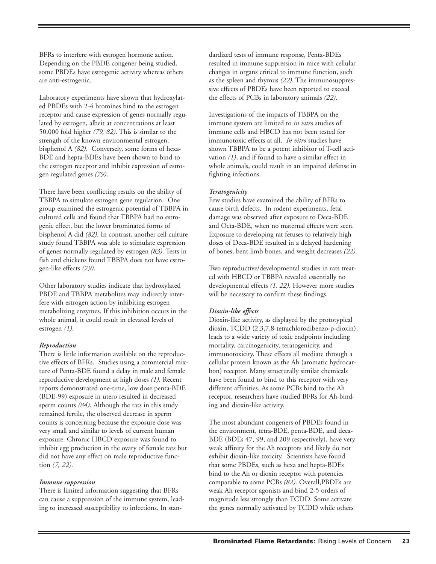BFRs to interfere with estrogen hormone action. Depending on the PBDE congener being studied, some PBDEs have estrogenic activity whereas others are anti-estrogenic.

Laboratory experiments have shown that hydroxylated PBDEs with 2-4 bromines bind to the estrogen receptor and cause expression of genes normally regulated by estrogen, albeit at concentrations at least 50,000 fold higher *(79, 82)*. This is similar to the strength of the known environmental estrogen, bisphenol A *(82)*. Conversely, some forms of hexa-BDE and hepta-BDEs have been shown to bind to the estrogen receptor and inhibit expression of estrogen regulated genes *(79)*.

There have been conflicting results on the ability of TBBPA to simulate estrogen gene regulation. One group examined the estrogenic potential of TBBPA in cultured cells and found that TBBPA had no estrogenic effect, but the lower brominated forms of bisphenol A did *(82)*. In contrast, another cell culture study found TBBPA was able to stimulate expression of genes normally regulated by estrogen *(83)*. Tests in fish and chickens found TBBPA does not have estrogen-like effects *(79)*.

Other laboratory studies indicate that hydroxylated PBDE and TBBPA metabolites may indirectly interfere with estrogen action by inhibiting estrogen metabolizing enzymes. If this inhibition occurs in the whole animal, it could result in elevated levels of estrogen *(1)*.

#### *Reproduction*

There is little information available on the reproductive effects of BFRs. Studies using a commercial mixture of Penta-BDE found a delay in male and female reproductive development at high doses *(1)*. Recent reports demonstrated one-time, low dose penta-BDE (BDE-99) exposure in utero resulted in decreased sperm counts *(84)*. Although the rats in this study remained fertile, the observed decrease in sperm counts is concerning because the exposure dose was very small and similar to levels of current human exposure. Chronic HBCD exposure was found to inhibit egg production in the ovary of female rats but did not have any effect on male reproductive function *(7, 22)*.

#### *Immune suppression*

There is limited information suggesting that BFRs can cause a suppression of the immune system, leading to increased susceptibility to infections. In stan-

dardized tests of immune response, Penta-BDEs resulted in immune suppression in mice with cellular changes in organs critical to immune function, such as the spleen and thymus *(22)*. The immunosuppressive effects of PBDEs have been reported to exceed the effects of PCBs in laboratory animals *(22)*.

Investigations of the impacts of TBBPA on the immune system are limited to *in vitro* studies of immune cells and HBCD has not been tested for immunotoxic effects at all. *In vitro* studies have shown TBBPA to be a potent inhibitor of T-cell activation *(1)*, and if found to have a similar effect in whole animals, could result in an impaired defense in fighting infections.

#### *Teratogenicity*

Few studies have examined the ability of BFRs to cause birth defects. In rodent experiments, fetal damage was observed after exposure to Deca-BDE and Octa-BDE, when no maternal effects were seen. Exposure to developing rat fetuses to relatively high doses of Deca-BDE resulted in a delayed hardening of bones, bent limb bones, and weight decreases *(22)*.

Two reproductive/developmental studies in rats treated with HBCD or TBBPA revealed essentially no developmental effects *(1, 22)*. However more studies will be necessary to confirm these findings.

#### *Dioxin-like effects*

Dioxin-like activity, as displayed by the prototypical dioxin, TCDD (2,3,7,8-tetrachlorodibenzo-p-dioxin), leads to a wide variety of toxic endpoints including mortality, carcinogenicity, teratogenicity, and immunotoxicity. These effects all mediate through a cellular protein known as the Ah (aromatic hydrocarbon) receptor. Many structurally similar chemicals have been found to bind to this receptor with very different affinities. As some PCBs bind to the Ah receptor, researchers have studied BFRs for Ah-binding and dioxin-like activity.

The most abundant congeners of PBDEs found in the environment, tetra-BDE, penta-BDE, and deca-BDE (BDEs 47, 99, and 209 respectively), have very weak affinity for the Ah receptors and likely do not exhibit dioxin-like toxicity. Scientists have found that some PBDEs, such as hexa and hepta-BDEs bind to the Ah or dioxin receptor with potencies comparable to some PCBs *(82)*. Overall,PBDEs are weak Ah receptor agonists and bind 2-5 orders of magnitude less strongly than TCDD. Some activate the genes normally activated by TCDD while others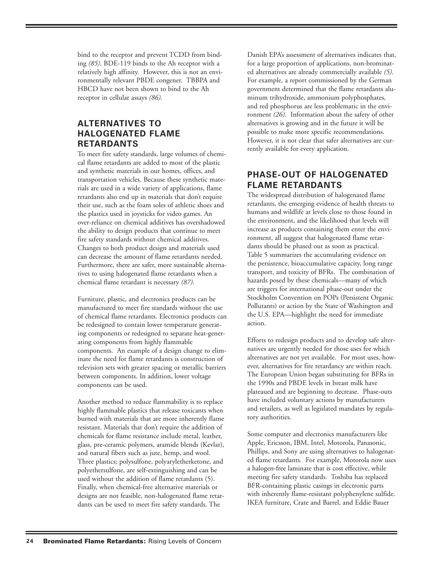bind to the receptor and prevent TCDD from binding *(85)*. BDE-119 binds to the Ah receptor with a relatively high affinity. However, this is not an environmentally relevant PBDE congener. TBBPA and HBCD have not been shown to bind to the Ah receptor in cellular assays *(86)*.

# **ALTERNATIVES TO HALOGENATED FLAME RETARDANTS**

To meet fire safety standards, large volumes of chemical flame retardants are added to most of the plastic and synthetic materials in our homes, offices, and transportation vehicles. Because these synthetic materials are used in a wide variety of applications, flame retardants also end up in materials that don't require their use, such as the foam soles of athletic shoes and the plastics used in joysticks for video games. An over-reliance on chemical additives has overshadowed the ability to design products that continue to meet fire safety standards without chemical additives. Changes to both product design and materials used can decrease the amount of flame retardants needed. Furthermore, there are safer, more sustainable alternatives to using halogenated flame retardants when a chemical flame retardant is necessary *(87)*.

Furniture, plastic, and electronics products can be manufactured to meet fire standards without the use of chemical flame retardants. Electronics products can be redesigned to contain lower temperature generating components or redesigned to separate heat-generating components from highly flammable components. An example of a design change to eliminate the need for flame retardants is construction of television sets with greater spacing or metallic barriers between components. In addition, lower voltage components can be used.

Another method to reduce flammability is to replace highly flammable plastics that release toxicants when burned with materials that are more inherently flame resistant. Materials that don't require the addition of chemicals for flame resistance include metal, leather, glass, pre-ceramic polymers, aramide blends (Kevlar), and natural fibers such as jute, hemp, and wool. Three plastics; polysulfone, polyaryletherketone, and polyethersulfone, are self-extinguishing and can be used without the addition of flame retardants (5). Finally, when chemical-free alternative materials or designs are not feasible, non-halogenated flame retardants can be used to meet fire safety standards. The

Danish EPA's assessment of alternatives indicates that, for a large proportion of applications, non-brominated alternatives are already commercially available *(5)*. For example, a report commissioned by the German government determined that the flame retardants aluminum trihydroxide, ammonium polyphosphates, and red phosphorus are less problematic in the environment *(26)*. Information about the safety of other alternatives is growing and in the future it will be possible to make more specific recommendations. However, it is not clear that safer alternatives are currently available for every application.

## **PHASE-OUT OF HALOGENATED FLAME RETARDANTS**

The widespread distribution of halogenated flame retardants, the emerging evidence of health threats to humans and wildlife at levels close to those found in the environment, and the likelihood that levels will increase as products containing them enter the environment, all suggest that halogenated flame retardants should be phased out as soon as practical. Table 5 summarizes the accumulating evidence on the persistence, bioaccumulative capacity, long range transport, and toxicity of BFRs. The combination of hazards posed by these chemicals—many of which are triggers for international phase-out under the Stockholm Convention on POPs (Persistent Organic Pollutants) or action by the State of Washington and the U.S. EPA—highlight the need for immediate action.

Efforts to redesign products and to develop safe alternatives are urgently needed for those uses for which alternatives are not yet available. For most uses, however, alternatives for fire retardancy are within reach. The European Union began substituting for BFRs in the 1990s and PBDE levels in breast milk have plateaued and are beginning to decrease. Phase-outs have included voluntary actions by manufacturers and retailers, as well as legislated mandates by regulatory authorities.

Some computer and electronics manufacturers like Apple, Ericsson, IBM, Intel, Motorola, Panasonic, Phillips, and Sony are using alternatives to halogenated flame retardants. For example, Motorola now uses a halogen-free laminate that is cost effective, while meeting fire safety standards. Toshiba has replaced BFR-containing plastic casings in electronic parts with inherently flame-resistant polyphenylene sulfide. IKEA furniture, Crate and Barrel, and Eddie Bauer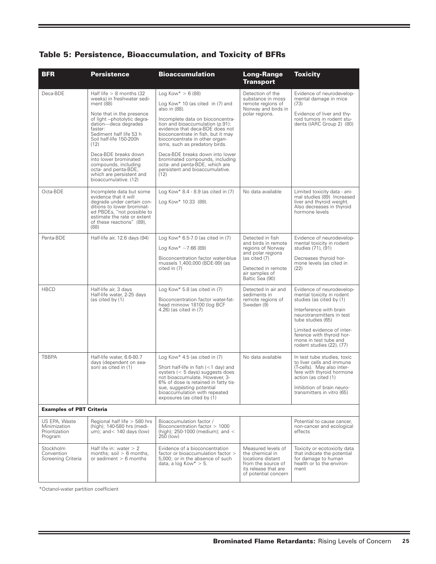| <b>BFR</b>                                                 | <b>Persistence</b>                                                                                                                                                                                                                                                                                                                                                                         | <b>Bioaccumulation</b>                                                                                                                                                                                                                                                                                                                                                                                                                             | <b>Long-Range</b><br><b>Transport</b>                                                                                                                         | <b>Toxicity</b>                                                                                                                                                                                                                                                                  |
|------------------------------------------------------------|--------------------------------------------------------------------------------------------------------------------------------------------------------------------------------------------------------------------------------------------------------------------------------------------------------------------------------------------------------------------------------------------|----------------------------------------------------------------------------------------------------------------------------------------------------------------------------------------------------------------------------------------------------------------------------------------------------------------------------------------------------------------------------------------------------------------------------------------------------|---------------------------------------------------------------------------------------------------------------------------------------------------------------|----------------------------------------------------------------------------------------------------------------------------------------------------------------------------------------------------------------------------------------------------------------------------------|
| Deca-BDE                                                   | Half life $> 8$ months (32)<br>weeks) in freshwater sedi-<br>ment (88)<br>Note that in the presence<br>of light --photolytic degra-<br>dation-deca degrades<br>faster:<br>Sediment half life 53 h<br>Soil half-life 150-200h<br>(12)<br>Deca-BDE breaks down<br>into lower brominated<br>compounds, including<br>octa- and penta-BDE,<br>which are persistent and<br>bioaccumulative. (12) | Log Kow $* > 6(88)$<br>Log Kow* 10 (as cited in $(7)$ and<br>also in (88).<br>Incomplete data on bioconcentra-<br>tion and bioaccumulation (p.91):<br>evidence that deca-BDE does not<br>bioconcentrate in fish, but it may<br>bioconcentrate in other organ-<br>isms, such as predatory birds.<br>Deca-BDE breaks down into lower<br>brominated compounds, including<br>octa- and penta-BDE, which are<br>persistent and bioaccumulative.<br>(12) | Detection of the<br>substance in moss<br>remote regions of<br>Norway and birds in<br>polar regions.                                                           | Evidence of neurodevelop-<br>mental damage in mice<br>(73)<br>Evidence of liver and thy-<br>roid tumors in rodent stu-<br>dents (IARC Group 2) (80)                                                                                                                              |
| Octa-BDE                                                   | Incomplete data but some<br>evidence that it will<br>degrade under certain con-<br>ditions to lower brominat-<br>ed PBDEs, "not possible to<br>estimate the rate or extent<br>of these reactions" (89),<br>(88)                                                                                                                                                                            | Log Kow* $8.4 - 8.9$ (as cited in $(7)$ )<br>Log Kow* 10.33 (89).                                                                                                                                                                                                                                                                                                                                                                                  | No data available                                                                                                                                             | Limited toxicity data - ani-<br>mal studies (89) Increased<br>liver and thyroid weight.<br>Also decreases in thyroid<br>hormone levels                                                                                                                                           |
| Penta-BDE                                                  | Half-life air, 12.6 days (94)                                                                                                                                                                                                                                                                                                                                                              | Log Kow* $6.5$ -7.0 (as cited in $(7)$<br>Log Kow* $\sim$ 7.66 (89)<br>Bioconcentration factor water-blue<br>mussels 1,400,000 (BDE-99) (as<br>cited in (7)                                                                                                                                                                                                                                                                                        | Detected in fish<br>and birds in remote<br>regions of Norway<br>and polar regions<br>(as cited (7)<br>Detected in remote<br>air samples of<br>Baltic Sea (90) | Evidence of neurodevelop-<br>mental toxicity in rodent<br>studies (71), (91)<br>Decreases thyroid hor-<br>mone levels (as cited in<br>(22)                                                                                                                                       |
| <b>HBCD</b>                                                | Half-life air, 3 days<br>Half-life water, 2-25 days<br>(as cited by (1)                                                                                                                                                                                                                                                                                                                    | Log Kow* 5.8 (as cited in $(7)$<br>Bioconcentration factor water-fat-<br>head minnow 18100 (log BCF<br>4.26) (as cited in (7)                                                                                                                                                                                                                                                                                                                      | Detected in air and<br>sediments in<br>remote regions of<br>Sweden (9)                                                                                        | Evidence of neurodevelop-<br>mental toxicity in rodent<br>studies (as cited by (1)<br>Interference with brain<br>neurotransmitters in test<br>tube studies (65)<br>Limited evidence of inter-<br>ference with thyroid hor-<br>mone in test tube and<br>rodent studies (22), (77) |
| <b>TBBPA</b>                                               | Half-life water, 6.6-80.7<br>days (dependent on sea-<br>son) as cited in (1)                                                                                                                                                                                                                                                                                                               | Log Kow* 4.5 (as cited in $(7)$<br>Short half-life in fish (<1 day) and<br>oysters $(< 5$ days) suggests does<br>not bioaccumulate. However, 3-<br>6% of dose is retained in fatty tis-<br>sue, suggesting potential<br>bioaccumulation with repeated<br>exposures (as cited by (1)                                                                                                                                                                | No data available                                                                                                                                             | In test tube studies, toxic<br>to liver cells and immune<br>(T-cells). May also inter-<br>fere with thyroid hormone<br>action (as cited (1)<br>Inhibition of brain neuro-<br>transmitters in vitro (65)                                                                          |
| <b>Examples of PBT Criteria</b>                            |                                                                                                                                                                                                                                                                                                                                                                                            |                                                                                                                                                                                                                                                                                                                                                                                                                                                    |                                                                                                                                                               |                                                                                                                                                                                                                                                                                  |
| US EPA, Waste<br>Minimization<br>Prioritization<br>Program | Regional half life $>$ 580 hrs<br>(high); 140-580 hrs (medi-<br>um); and $<$ 140 days (low)                                                                                                                                                                                                                                                                                                | Bioaccumulation factor /<br>Bioconcentration factor > 1000<br>(high); $250-1000$ (medium); and $\lt$<br>250 (low)                                                                                                                                                                                                                                                                                                                                  |                                                                                                                                                               | Potential to cause cancer,<br>non-cancer and ecological<br>effects                                                                                                                                                                                                               |
| Stockholm<br>Convention<br>Screening Criteria              | Half life in: water $> 2$<br>months; soil $> 6$ months,<br>or sediment $> 6$ months                                                                                                                                                                                                                                                                                                        | Evidence of a bioconcentration<br>factor or bioaccumulation factor ><br>5,000; or in the absence of such<br>data, a log Kow $* > 5$ .                                                                                                                                                                                                                                                                                                              | Measured levels of<br>the chemical in<br>locations distant<br>from the source of<br>its release that are<br>of potential concern                              | Toxicity or ecotoxicity data<br>that indicate the potential<br>for damage to human<br>health or to the environ-<br>ment                                                                                                                                                          |

\*Octanol-water partition coefficient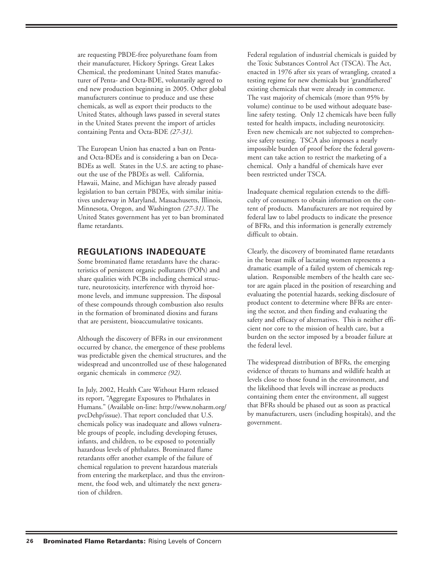are requesting PBDE-free polyurethane foam from their manufacturer, Hickory Springs. Great Lakes Chemical, the predominant United States manufacturer of Penta- and Octa-BDE, voluntarily agreed to end new production beginning in 2005. Other global manufacturers continue to produce and use these chemicals, as well as export their products to the United States, although laws passed in several states in the United States prevent the import of articles containing Penta and Octa-BDE *(27-31)*.

The European Union has enacted a ban on Pentaand Octa-BDEs and is considering a ban on Deca-BDEs as well. States in the U.S. are acting to phaseout the use of the PBDEs as well. California, Hawaii, Maine, and Michigan have already passed legislation to ban certain PBDEs, with similar initiatives underway in Maryland, Massachusetts, Illinois, Minnesota, Oregon, and Washington *(27-31)*. The United States government has yet to ban brominated flame retardants.

## **REGULATIONS INADEQUATE**

Some brominated flame retardants have the characteristics of persistent organic pollutants (POPs) and share qualities with PCBs including chemical structure, neurotoxicity, interference with thyroid hormone levels, and immune suppression. The disposal of these compounds through combustion also results in the formation of brominated dioxins and furans that are persistent, bioaccumulative toxicants.

Although the discovery of BFRs in our environment occurred by chance, the emergence of these problems was predictable given the chemical structures, and the widespread and uncontrolled use of these halogenated organic chemicals in commerce *(92)*.

In July, 2002, Health Care Without Harm released its report, "Aggregate Exposures to Phthalates in Humans." (Available on-line: http://www.noharm.org/ pvcDehp/issue). That report concluded that U.S. chemicals policy was inadequate and allows vulnerable groups of people, including developing fetuses, infants, and children, to be exposed to potentially hazardous levels of phthalates. Brominated flame retardants offer another example of the failure of chemical regulation to prevent hazardous materials from entering the marketplace, and thus the environment, the food web, and ultimately the next generation of children.

Federal regulation of industrial chemicals is guided by the Toxic Substances Control Act (TSCA). The Act, enacted in 1976 after six years of wrangling, created a testing regime for new chemicals but 'grandfathered' existing chemicals that were already in commerce. The vast majority of chemicals (more than 95% by volume) continue to be used without adequate baseline safety testing. Only 12 chemicals have been fully tested for health impacts, including neurotoxicity. Even new chemicals are not subjected to comprehensive safety testing. TSCA also imposes a nearly impossible burden of proof before the federal government can take action to restrict the marketing of a chemical. Only a handful of chemicals have ever been restricted under TSCA.

Inadequate chemical regulation extends to the difficulty of consumers to obtain information on the content of products. Manufacturers are not required by federal law to label products to indicate the presence of BFRs, and this information is generally extremely difficult to obtain.

Clearly, the discovery of brominated flame retardants in the breast milk of lactating women represents a dramatic example of a failed system of chemicals regulation. Responsible members of the health care sector are again placed in the position of researching and evaluating the potential hazards, seeking disclosure of product content to determine where BFRs are entering the sector, and then finding and evaluating the safety and efficacy of alternatives. This is neither efficient nor core to the mission of health care, but a burden on the sector imposed by a broader failure at the federal level.

The widespread distribution of BFRs, the emerging evidence of threats to humans and wildlife health at levels close to those found in the environment, and the likelihood that levels will increase as products containing them enter the environment, all suggest that BFRs should be phased out as soon as practical by manufacturers, users (including hospitals), and the government.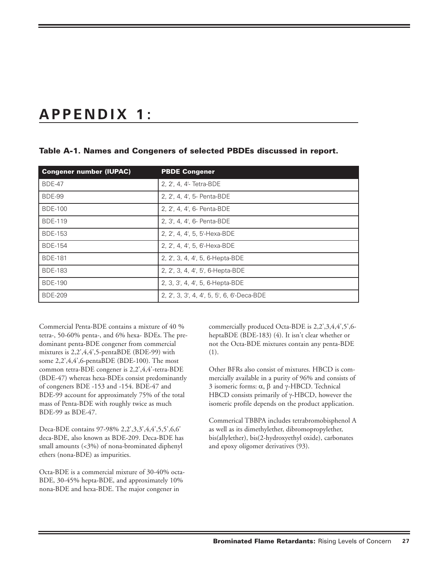# **APPENDIX 1:**

| <b>Congener number (IUPAC)</b> | <b>PBDE Congener</b>                  |
|--------------------------------|---------------------------------------|
| <b>BDE-47</b>                  | 2, 2', 4, 4'- Tetra-BDE               |
| <b>BDE-99</b>                  | 2, 2', 4, 4', 5- Penta-BDE            |
| <b>BDE-100</b>                 | 2, 2', 4, 4', 6- Penta-BDE            |
| <b>BDE-119</b>                 | 2, 3', 4, 4', 6- Penta-BDE            |
| <b>BDE-153</b>                 | 2, 2', 4, 4', 5, 5'-Hexa-BDE          |
| <b>BDE-154</b>                 | 2, 2', 4, 4', 5, 6'-Hexa-BDE          |
| <b>BDE-181</b>                 | 2, 2', 3, 4, 4', 5, 6-Hepta-BDE       |
| <b>BDE-183</b>                 | 2, 2', 3, 4, 4', 5', 6-Hepta-BDE      |
| <b>BDE-190</b>                 | 2, 3, 3', 4, 4', 5, 6-Hepta-BDE       |
| <b>BDE-209</b>                 | 2, 2, 3, 3, 4, 4, 5, 5, 6, 6-Deca-BDE |

#### **Table A-1. Names and Congeners of selected PBDEs discussed in report.**

Commercial Penta-BDE contains a mixture of 40 % tetra-, 50-60% penta-, and 6% hexa- BDEs. The predominant penta-BDE congener from commercial mixtures is 2,2',4,4',5-pentaBDE (BDE-99) with some 2,2',4,4',6-pentaBDE (BDE-100). The most common tetra-BDE congener is 2,2',4,4'-tetra-BDE (BDE-47) whereas hexa-BDEs consist predominantly of congeners BDE -153 and -154. BDE-47 and BDE-99 account for approximately 75% of the total mass of Penta-BDE with roughly twice as much BDE-99 as BDE-47.

Deca-BDE contains 97-98% 2,2',3,3',4,4',5,5',6,6' deca-BDE, also known as BDE-209. Deca-BDE has small amounts (<3%) of nona-brominated diphenyl ethers (nona-BDE) as impurities.

Octa-BDE is a commercial mixture of 30-40% octa-BDE, 30-45% hepta-BDE, and approximately 10% nona-BDE and hexa-BDE. The major congener in

commercially produced Octa-BDE is 2,2',3,4,4',5',6 heptaBDE (BDE-183) (4). It isn't clear whether or not the Octa-BDE mixtures contain any penta-BDE (1).

Other BFRs also consist of mixtures. HBCD is commercially available in a purity of 96% and consists of 3 isomeric forms: α, β and γ-HBCD. Technical HBCD consists primarily of γ-HBCD, however the isomeric profile depends on the product application.

Commerical TBBPA includes tetrabromobisphenol A as well as its dimethylether, dibromopropylether, bis(allylether), bis(2-hydroxyethyl oxide), carbonates and epoxy oligomer derivatives (93).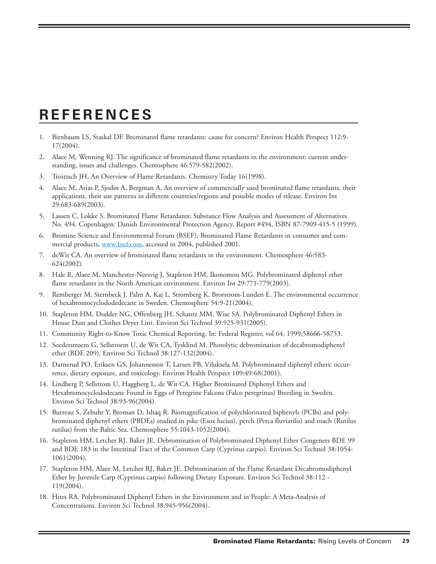# **REFERENCES**

- 1. Birnbaum LS, Staskal DF. Brominated flame retardants: cause for concern? Environ Health Perspect 112:9- 17(2004).
- 2. Alaee M, Wenning RJ. The significance of brominated flame retardants in the environment: current understanding, issues and challenges. Chemosphere 46:579-582(2002).
- 3. Troitzsch JH. An Overview of Flame Retardants. Chemistry Today 16(1998).
- 4. Alaee M, Arias P, Sjodin A, Bergman A. An overview of commercially used brominated flame retardants, their applications, their use patterns in different countries/regions and possible modes of release. Environ Int 29:683-689(2003).
- 5. Lassen C, Lokke S. Brominated Flame Retardants: Substance Flow Analysis and Assessment of Alternatives No. 494. Copenhagen: Danish Environmental Protection Agency, Report #494, ISBN 87-7909-415-5 (1999).
- 6. Bromine Science and Environmental Forum (BSEF), Brominated Flame Retardants in consumer and commercial products, [www.bsef.com,](www.bsef.com) accessed in 2004, published 2001.
- 7. deWit CA. An overview of brominated flame retardants in the environment. Chemosphere 46:583- 624(2002).
- 8. Hale R, Alaee M, Manchester-Neesvig J, Stapleton HM, Ikonomou MG. Polybrominated diphenyl ether flame retardants in the North American environment. Environ Int 29:771-779(2003).
- 9. Remberger M, Sternbeck J, Palm A, Kaj L, Stromberg K, Brorstrom-Lunden E. The environmental occurrence of hexabromocyclododedecane in Sweden. Chemosphere 54:9-21(2004).
- 10. Stapleton HM, Dodder NG, Offenberg JH, Schantz MM, Wise SA. Polybrominated Diphenyl Ethers in House Dust and Clothes Dryer Lint. Environ Sci Technol 39:925-931(2005).
- 11. Community Right-to-Know Toxic Chemical Reporting. In: Federal Register, vol 64, 1999;58666-58753.
- 12. Soederstroem G, Sellstroem U, de Wit CA, Tysklind M. Photolytic debromination of decabromodiphenyl ether (BDE 209). Environ Sci Technol 38:127-132(2004).
- 13. Darnerud PO, Eriksen GS, Johannesson T, Larsen PB, Viluksela M. Polybrominated diphenyl ethers: occurrence, dietary exposure, and toxicology. Environ Health Perspect 109:49-68(2001).
- 14. Lindberg P, Sellstrom U, Haggberg L, de Wit CA. Higher Brominated Diphenyl Ethers and Hexabromocyclododecane Found in Eggs of Peregrine Falcons (Falco peregrinus) Breeding in Sweden. Environ Sci Technol 38:93-96(2004).
- 15. Burreau S, Zebuhr Y, Broman D, Ishaq R. Biomagnification of polychlorinated biphenyls (PCBs) and polybrominated diphenyl ethers (PBDEs) studied in pike (Esox lucius), perch (Perca fluviatilis) and roach (Rutilus rutilus) from the Baltic Sea. Chemosphere 55:1043-1052(2004).
- 16. Stapleton HM, Letcher RJ, Baker JE. Debromination of Polybrominated Diphenyl Ether Congeners BDE 99 and BDE 183 in the Intestinal Tract of the Common Carp (Cyprinus carpio). Environ Sci Technol 38:1054- 1061(2004).
- 17. Stapleton HM, Alaee M, Letcher RJ, Baker JE. Debromination of the Flame Retardant Decabromodiphenyl Ether by Juvenile Carp (Cyprinus carpio) following Dietary Exposure. Environ Sci Technol 38:112 - 119(2004).
- 18. Hites RA. Polybrominated Diphenyl Ethers in the Environment and in People: A Meta-Analysis of Concentrations. Environ Sci Technol 38:945-956(2004).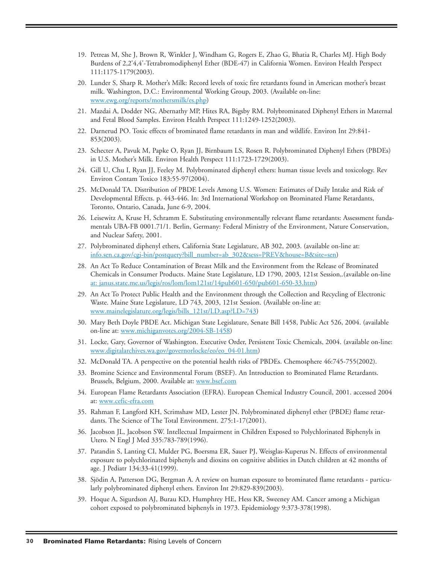- 19. Petreas M, She J, Brown R, Winkler J, Windham G, Rogers E, Zhao G, Bhatia R, Charles MJ. High Body Burdens of 2,2'4,4'-Tetrabromodiphenyl Ether (BDE-47) in California Women. Environ Health Perspect 111:1175-1179(2003).
- 20. Lunder S, Sharp R. Mother's Milk: Record levels of toxic fire retardants found in American mother's breast milk. Washington, D.C.: Environmental Working Group, 2003. (Available on-line: [www.ewg.org/reports/mothersmilk/es.php\)](www.ewg.org/reports/mothersmilk/es.php)
- 21. Mazdai A, Dodder NG, Abernathy MP, Hites RA, Bigsby RM. Polybrominated Diphenyl Ethers in Maternal and Fetal Blood Samples. Environ Health Perspect 111:1249-1252(2003).
- 22. Darnerud PO. Toxic effects of brominated flame retardants in man and wildlife. Environ Int 29:841- 853(2003).
- 23. Schecter A, Pavuk M, Papke O, Ryan JJ, Birnbaum LS, Rosen R. Polybrominated Diphenyl Ethers (PBDEs) in U.S. Mother's Milk. Environ Health Perspect 111:1723-1729(2003).
- 24. Gill U, Chu I, Ryan JJ, Feeley M. Polybrominated diphenyl ethers: human tissue levels and toxicology. Rev Environ Contam Toxico 183:55-97(2004).
- 25. McDonald TA. Distribution of PBDE Levels Among U.S. Women: Estimates of Daily Intake and Risk of Developmental Effects. p. 443-446. In: 3rd International Workshop on Brominated Flame Retardants, Toronto, Ontario, Canada, June 6-9, 2004.
- 26. Leisewitz A, Kruse H, Schramm E. Substituting environmentally relevant flame retardants: Assessment fundamentals UBA-FB 0001.71/1. Berlin, Germany: Federal Ministry of the Environment, Nature Conservation, and Nuclear Safety, 2001.
- 27. Polybrominated diphenyl ethers, California State Legislature, AB 302, 2003. (available on-line at: [info.sen.ca.gov/cgi-bin/postquery?bill\\_number=ab\\_302&sess=PREV&house=B&site=sen\)](info.sen.ca.gov/cgi-bin/postquery?bill_number=ab_302&sess=PREV&house=B&site=sen)
- 28. An Act To Reduce Contamination of Breast Milk and the Environment from the Release of Brominated Chemicals in Consumer Products. Maine State Legislature, LD 1790, 2003, 121st Session,.(available on-line [at: janus.state.me.us/legis/ros/lom/lom121st/14pub601-650/pub601-650-33.htm\)](at: janus.state.me.us/legis/ros/lom/lom121st/14pub601-650/pub601-650-33.htm)
- 29. An Act To Protect Public Health and the Environment through the Collection and Recycling of Electronic Waste. Maine State Legislature, LD 743, 2003, 121st Session. (Available on-line at: [www.mainelegislature.org/legis/bills\\_121st/LD.asp?LD=743\)](www.mainelegislature.org/legis/bills_121st/LD.asp?LD=743)
- 30. Mary Beth Doyle PBDE Act. Michigan State Legislature, Senate Bill 1458, Public Act 526, 2004. (available on-line at: [www.michiganvotes.org/2004-SB-1458\)](www.michiganvotes.org/2004-SB-1458)
- 31. [Locke, Gary, Governor of Washington. Executive Order, Pers](www.digitalarchives.wa.gov/governorlocke/eo/eo_04-01.htm)istent Toxic Chemicals, 2004. (available on-line: www.digitalarchives.wa.gov/governorlocke/eo/eo\_04-01.htm)
- 32. McDonald TA. A perspective on the potential health risks of PBDEs. Chemosphere 46:745-755(2002).
- 33. Bromine Science and Environmental Forum (BSEF). An Introduction to Brominated Flame Retardants. Brussels, Belgium, 2000. Available at:<www.bsef.com>
- 34. European Flame Retardants Association (EFRA). European Chemical Industry Council, 2001. accessed 2004 at:<www.cefic-efra.com>
- 35. Rahman F, Langford KH, Scrimshaw MD, Lester JN. Polybrominated diphenyl ether (PBDE) flame retardants. The Science of The Total Environment. 275:1-17(2001).
- 36. Jacobson JL, Jacobson SW. Intellectual Impairment in Children Exposed to Polychlorinated Biphenyls in Utero. N Engl J Med 335:783-789(1996).
- 37. Patandin S, Lanting CI, Mulder PG, Boersma ER, Sauer PJ, Weisglas-Kuperus N. Effects of environmental exposure to polychlorinated biphenyls and dioxins on cognitive abilities in Dutch children at 42 months of age. J Pediatr 134:33-41(1999).
- 38. Sjödin A, Patterson DG, Bergman A. A review on human exposure to brominated flame retardants particularly polybrominated diphenyl ethers. Environ Int 29:829-839(2003).
- 39. Hoque A, Sigurdson AJ, Burau KD, Humphrey HE, Hess KR, Sweeney AM. Cancer among a Michigan cohort exposed to polybrominated biphenyls in 1973. Epidemiology 9:373-378(1998).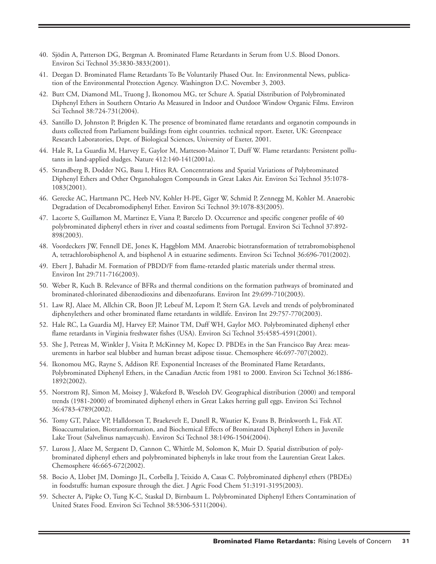- 40. Sjödin A, Patterson DG, Bergman A. Brominated Flame Retardants in Serum from U.S. Blood Donors. Environ Sci Technol 35:3830-3833(2001).
- 41. Deegan D. Brominated Flame Retardants To Be Voluntarily Phased Out. In: Environmental News, publication of the Environmental Protection Agency. Washington D.C. November 3, 2003.
- 42. Butt CM, Diamond ML, Truong J, Ikonomou MG, ter Schure A. Spatial Distribution of Polybrominated Diphenyl Ethers in Southern Ontario As Measured in Indoor and Outdoor Window Organic Films. Environ Sci Technol 38:724-731(2004).
- 43. Santillo D, Johnston P, Brigden K. The presence of brominated flame retardants and organotin compounds in dusts collected from Parliament buildings from eight countries. technical report. Exeter, UK: Greenpeace Research Laboratories, Dept. of Biological Sciences, University of Exeter, 2001.
- 44. Hale R, La Guardia M, Harvey E, Gaylor M, Matteson-Mainor T, Duff W. Flame retardants: Persistent pollutants in land-applied sludges. Nature 412:140-141(2001a).
- 45. Strandberg B, Dodder NG, Basu I, Hites RA. Concentrations and Spatial Variations of Polybrominated Diphenyl Ethers and Other Organohalogen Compounds in Great Lakes Air. Environ Sci Technol 35:1078- 1083(2001).
- 46. Gerecke AC, Hartmann PC, Heeb NV, Kohler H-PE, Giger W, Schmid P, Zennegg M, Kohler M. Anaerobic Degradation of Decabromodiphenyl Ether. Environ Sci Technol 39:1078-83(2005).
- 47. Lacorte S, Guillamon M, Martinez E, Viana P, Barcelo D. Occurrence and specific congener profile of 40 polybrominated diphenyl ethers in river and coastal sediments from Portugal. Environ Sci Technol 37:892- 898(2003).
- 48. Voordeckers JW, Fennell DE, Jones K, Haggblom MM. Anaerobic biotransformation of tetrabromobisphenol A, tetrachlorobisphenol A, and bisphenol A in estuarine sediments. Environ Sci Technol 36:696-701(2002).
- 49. Ebert J, Bahadir M. Formation of PBDD/F from flame-retarded plastic materials under thermal stress. Environ Int 29:711-716(2003).
- 50. Weber R, Kuch B. Relevance of BFRs and thermal conditions on the formation pathways of brominated and brominated-chlorinated dibenzodioxins and dibenzofurans. Environ Int 29:699-710(2003).
- 51. Law RJ, Alaee M, Allchin CR, Boon JP, Lebeuf M, Lepom P, Stern GA. Levels and trends of polybrominated diphenylethers and other brominated flame retardants in wildlife. Environ Int 29:757-770(2003).
- 52. Hale RC, La Guardia MJ, Harvey EP, Mainor TM, Duff WH, Gaylor MO. Polybrominated diphenyl ether flame retardants in Virginia freshwater fishes (USA). Environ Sci Technol 35:4585-4591(2001).
- 53. She J, Petreas M, Winkler J, Visita P, McKinney M, Kopec D. PBDEs in the San Francisco Bay Area: measurements in harbor seal blubber and human breast adipose tissue. Chemosphere 46:697-707(2002).
- 54. Ikonomou MG, Rayne S, Addison RF. Exponential Increases of the Brominated Flame Retardants, Polybrominated Diphenyl Ethers, in the Canadian Arctic from 1981 to 2000. Environ Sci Technol 36:1886- 1892(2002).
- 55. Norstrom RJ, Simon M, Moisey J, Wakeford B, Weseloh DV. Geographical distribution (2000) and temporal trends (1981-2000) of brominated diphenyl ethers in Great Lakes herring gull eggs. Environ Sci Technol 36:4783-4789(2002).
- 56. Tomy GT, Palace VP, Halldorson T, Braekevelt E, Danell R, Wautier K, Evans B, Brinkworth L, Fisk AT. Bioaccumulation, Biotransformation, and Biochemical Effects of Brominated Diphenyl Ethers in Juvenile Lake Trout (Salvelinus namaycush). Environ Sci Technol 38:1496-1504(2004).
- 57. Luross J, Alaee M, Sergaent D, Cannon C, Whittle M, Solomon K, Muir D. Spatial distribution of polybrominated diphenyl ethers and polybrominated biphenyls in lake trout from the Laurentian Great Lakes. Chemosphere 46:665-672(2002).
- 58. Bocio A, Llobet JM, Domingo JL, Corbella J, Teixido A, Casas C. Polybrominated diphenyl ethers (PBDEs) in foodstuffs: human exposure through the diet. J Agric Food Chem 51:3191-3195(2003).
- 59. Schecter A, Päpke O, Tung K-C, Staskal D, Birnbaum L. Polybrominated Diphenyl Ethers Contamination of United States Food. Environ Sci Technol 38:5306-5311(2004).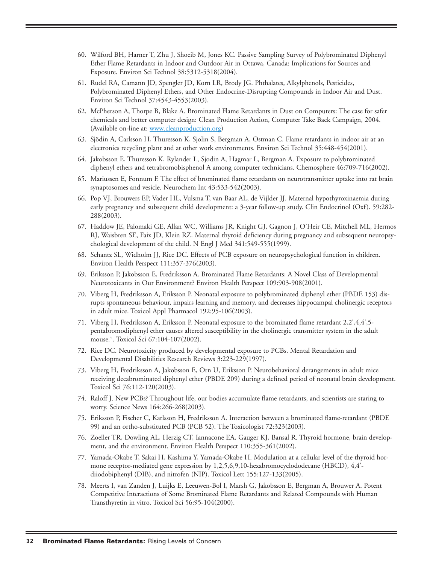- 60. Wilford BH, Harner T, Zhu J, Shoeib M, Jones KC. Passive Sampling Survey of Polybrominated Diphenyl Ether Flame Retardants in Indoor and Outdoor Air in Ottawa, Canada: Implications for Sources and Exposure. Environ Sci Technol 38:5312-5318(2004).
- 61. Rudel RA, Camann JD, Spengler JD, Korn LR, Brody JG. Phthalates, Alkylphenols, Pesticides, Polybrominated Diphenyl Ethers, and Other Endocrine-Disrupting Compounds in Indoor Air and Dust. Environ Sci Technol 37:4543-4553(2003).
- 62. McPherson A, Thorpe B, Blake A. Brominated Flame Retardants in Dust on Computers: The case for safer chemicals and better computer design: Clean Production Action, Computer Take Back Campaign, 2004. (Available on-line at: [www.cleanproduction.org\)](www.cleanproduction.org)
- 63. Sjödin A, Carlsson H, Thuresson K, Sjolin S, Bergman A, Ostman C. Flame retardants in indoor air at an electronics recycling plant and at other work environments. Environ Sci Technol 35:448-454(2001).
- 64. Jakobsson E, Thuresson K, Rylander L, Sjodin A, Hagmar L, Bergman A. Exposure to polybrominated diphenyl ethers and tetrabromobisphenol A among computer technicians. Chemosphere 46:709-716(2002).
- 65. Mariussen E, Fonnum F. The effect of brominated flame retardants on neurotransmitter uptake into rat brain synaptosomes and vesicle. Neurochem Int 43:533-542(2003).
- 66. Pop VJ, Brouwers EP, Vader HL, Vulsma T, van Baar AL, de Vijlder JJ. Maternal hypothyroxinaemia during early pregnancy and subsequent child development: a 3-year follow-up study. Clin Endocrinol (Oxf). 59:282- 288(2003).
- 67. Haddow JE, Palomaki GE, Allan WC, Williams JR, Knight GJ, Gagnon J, O'Heir CE, Mitchell ML, Hermos RJ, Waisbren SE, Faix JD, Klein RZ. Maternal thyroid deficiency during pregnancy and subsequent neuropsychological development of the child. N Engl J Med 341:549-555(1999).
- 68. Schantz SL, Widholm JJ, Rice DC. Effects of PCB exposure on neuropsychological function in children. Environ Health Perspect 111:357-376(2003).
- 69. Eriksson P, Jakobsson E, Fredriksson A. Brominated Flame Retardants: A Novel Class of Developmental Neurotoxicants in Our Environment? Environ Health Perspect 109:903-908(2001).
- 70. Viberg H, Fredriksson A, Eriksson P. Neonatal exposure to polybrominated diphenyl ether (PBDE 153) disrupts spontaneous behaviour, impairs learning and memory, and decreases hippocampal cholinergic receptors in adult mice. Toxicol Appl Pharmacol 192:95-106(2003).
- 71. Viberg H, Fredriksson A, Eriksson P. Neonatal exposure to the brominated flame retardant 2,2',4,4',5 pentabromodiphenyl ether causes altered susceptibility in the cholinergic transmitter system in the adult mouse.`. Toxicol Sci 67:104-107(2002).
- 72. Rice DC. Neurotoxicity produced by developmental exposure to PCBs. Mental Retardation and Developmental Disabilities Research Reviews 3:223-229(1997).
- 73. Viberg H, Fredriksson A, Jakobsson E, Orn U, Eriksson P. Neurobehavioral derangements in adult mice receiving decabrominated diphenyl ether (PBDE 209) during a defined period of neonatal brain development. Toxicol Sci 76:112-120(2003).
- 74. Raloff J. New PCBs? Throughout life, our bodies accumulate flame retardants, and scientists are staring to worry. Science News 164:266-268(2003).
- 75. Eriksson P, Fischer C, Karlsson H, Fredriksson A. Interaction between a brominated flame-retardant (PBDE 99) and an ortho-substituted PCB (PCB 52). The Toxicologist 72:323(2003).
- 76. Zoeller TR, Dowling AL, Herzig CT, Iannacone EA, Gauger KJ, Bansal R. Thyroid hormone, brain development, and the environment. Environ Health Perspect 110:355-361(2002).
- 77. Yamada-Okabe T, Sakai H, Kashima Y, Yamada-Okabe H. Modulation at a cellular level of the thyroid hormone receptor-mediated gene expression by 1,2,5,6,9,10-hexabromocyclododecane (HBCD), 4,4' diiodobiphenyl (DIB), and nitrofen (NIP). Toxicol Lett 155:127-133(2005).
- 78. Meerts I, van Zanden J, Luijks E, Leeuwen-Bol I, Marsh G, Jakobsson E, Bergman A, Brouwer A. Potent Competitive Interactions of Some Brominated Flame Retardants and Related Compounds with Human Transthyretin in vitro. Toxicol Sci 56:95-104(2000).